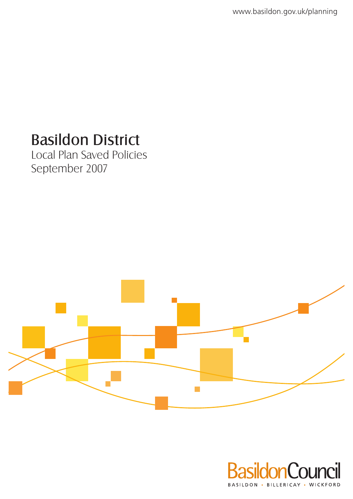# Basildon District

Local Plan Saved Policies September 2007



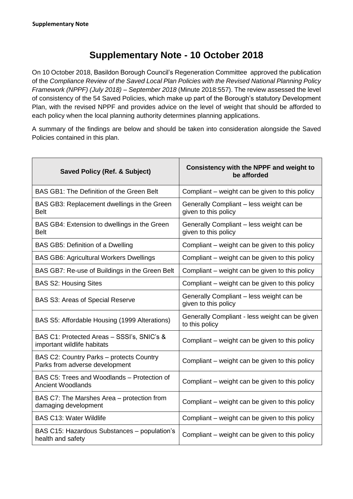# **Supplementary Note - 10 October 2018**

On 10 October 2018, Basildon Borough Council's Regeneration Committee approved the publication of the *Compliance Review of the Saved Local Plan Policies with the Revised National Planning Policy Framework (NPPF) (July 2018) – September 2018* (Minute 2018:557). The review assessed the level of consistency of the 54 Saved Policies, which make up part of the Borough's statutory Development Plan, with the revised NPPF and provides advice on the level of weight that should be afforded to each policy when the local planning authority determines planning applications.

A summary of the findings are below and should be taken into consideration alongside the Saved Policies contained in this plan.

| <b>Saved Policy (Ref. &amp; Subject)</b>                                   | Consistency with the NPPF and weight to<br>be afforded           |
|----------------------------------------------------------------------------|------------------------------------------------------------------|
| BAS GB1: The Definition of the Green Belt                                  | Compliant – weight can be given to this policy                   |
| BAS GB3: Replacement dwellings in the Green<br><b>Belt</b>                 | Generally Compliant – less weight can be<br>given to this policy |
| BAS GB4: Extension to dwellings in the Green<br><b>Belt</b>                | Generally Compliant - less weight can be<br>given to this policy |
| BAS GB5: Definition of a Dwelling                                          | Compliant – weight can be given to this policy                   |
| <b>BAS GB6: Agricultural Workers Dwellings</b>                             | Compliant – weight can be given to this policy                   |
| BAS GB7: Re-use of Buildings in the Green Belt                             | Compliant – weight can be given to this policy                   |
| <b>BAS S2: Housing Sites</b>                                               | Compliant – weight can be given to this policy                   |
| BAS S3: Areas of Special Reserve                                           | Generally Compliant - less weight can be<br>given to this policy |
| BAS S5: Affordable Housing (1999 Alterations)                              | Generally Compliant - less weight can be given<br>to this policy |
| BAS C1: Protected Areas - SSSI's, SNIC's &<br>important wildlife habitats  | Compliant – weight can be given to this policy                   |
| BAS C2: Country Parks - protects Country<br>Parks from adverse development | Compliant – weight can be given to this policy                   |
| BAS C5: Trees and Woodlands - Protection of<br><b>Ancient Woodlands</b>    | Compliant – weight can be given to this policy                   |
| BAS C7: The Marshes Area - protection from<br>damaging development         | Compliant – weight can be given to this policy                   |
| <b>BAS C13: Water Wildlife</b>                                             | Compliant – weight can be given to this policy                   |
| BAS C15: Hazardous Substances - population's<br>health and safety          | Compliant – weight can be given to this policy                   |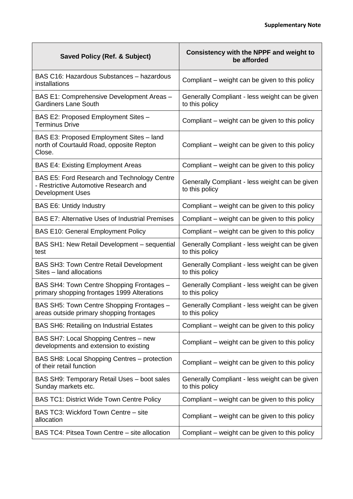| <b>Saved Policy (Ref. &amp; Subject)</b>                                                                        | Consistency with the NPPF and weight to<br>be afforded           |
|-----------------------------------------------------------------------------------------------------------------|------------------------------------------------------------------|
| BAS C16: Hazardous Substances - hazardous<br>installations                                                      | Compliant – weight can be given to this policy                   |
| BAS E1: Comprehensive Development Areas -<br><b>Gardiners Lane South</b>                                        | Generally Compliant - less weight can be given<br>to this policy |
| BAS E2: Proposed Employment Sites -<br><b>Terminus Drive</b>                                                    | Compliant – weight can be given to this policy                   |
| BAS E3: Proposed Employment Sites - land<br>north of Courtauld Road, opposite Repton<br>Close.                  | Compliant – weight can be given to this policy                   |
| <b>BAS E4: Existing Employment Areas</b>                                                                        | Compliant – weight can be given to this policy                   |
| BAS E5: Ford Research and Technology Centre<br>- Restrictive Automotive Research and<br><b>Development Uses</b> | Generally Compliant - less weight can be given<br>to this policy |
| <b>BAS E6: Untidy Industry</b>                                                                                  | Compliant – weight can be given to this policy                   |
| <b>BAS E7: Alternative Uses of Industrial Premises</b>                                                          | Compliant – weight can be given to this policy                   |
| <b>BAS E10: General Employment Policy</b>                                                                       | Compliant – weight can be given to this policy                   |
| BAS SH1: New Retail Development - sequential<br>test                                                            | Generally Compliant - less weight can be given<br>to this policy |
| <b>BAS SH3: Town Centre Retail Development</b><br>Sites - land allocations                                      | Generally Compliant - less weight can be given<br>to this policy |
| BAS SH4: Town Centre Shopping Frontages -<br>primary shopping frontages 1999 Alterations                        | Generally Compliant - less weight can be given<br>to this policy |
| BAS SH5: Town Centre Shopping Frontages -<br>areas outside primary shopping frontages                           | Generally Compliant - less weight can be given<br>to this policy |
| <b>BAS SH6: Retailing on Industrial Estates</b>                                                                 | Compliant – weight can be given to this policy                   |
| BAS SH7: Local Shopping Centres - new<br>developments and extension to existing                                 | Compliant – weight can be given to this policy                   |
| BAS SH8: Local Shopping Centres – protection<br>of their retail function                                        | Compliant – weight can be given to this policy                   |
| BAS SH9: Temporary Retail Uses - boot sales<br>Sunday markets etc.                                              | Generally Compliant - less weight can be given<br>to this policy |
| <b>BAS TC1: District Wide Town Centre Policy</b>                                                                | Compliant – weight can be given to this policy                   |
| BAS TC3: Wickford Town Centre - site<br>allocation                                                              | Compliant – weight can be given to this policy                   |
| BAS TC4: Pitsea Town Centre - site allocation                                                                   | Compliant – weight can be given to this policy                   |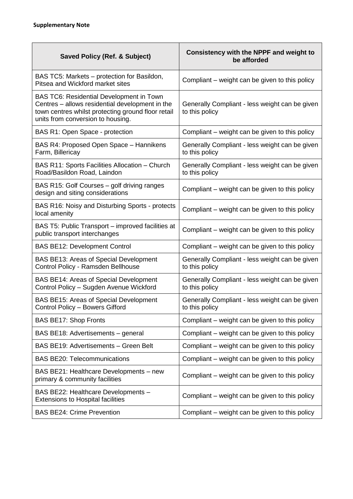| <b>Saved Policy (Ref. &amp; Subject)</b>                                                                                                                                                      | Consistency with the NPPF and weight to<br>be afforded           |
|-----------------------------------------------------------------------------------------------------------------------------------------------------------------------------------------------|------------------------------------------------------------------|
| BAS TC5: Markets – protection for Basildon,<br>Pitsea and Wickford market sites                                                                                                               | Compliant – weight can be given to this policy                   |
| <b>BAS TC6: Residential Development in Town</b><br>Centres – allows residential development in the<br>town centres whilst protecting ground floor retail<br>units from conversion to housing. | Generally Compliant - less weight can be given<br>to this policy |
| BAS R1: Open Space - protection                                                                                                                                                               | Compliant – weight can be given to this policy                   |
| BAS R4: Proposed Open Space - Hannikens<br>Farm, Billericay                                                                                                                                   | Generally Compliant - less weight can be given<br>to this policy |
| BAS R11: Sports Facilities Allocation - Church<br>Road/Basildon Road, Laindon                                                                                                                 | Generally Compliant - less weight can be given<br>to this policy |
| BAS R15: Golf Courses - golf driving ranges<br>design and siting considerations                                                                                                               | Compliant – weight can be given to this policy                   |
| BAS R16: Noisy and Disturbing Sports - protects<br>local amenity                                                                                                                              | Compliant – weight can be given to this policy                   |
| BAS T5: Public Transport – improved facilities at<br>public transport interchanges                                                                                                            | Compliant – weight can be given to this policy                   |
| <b>BAS BE12: Development Control</b>                                                                                                                                                          | Compliant – weight can be given to this policy                   |
| BAS BE13: Areas of Special Development<br>Control Policy - Ramsden Bellhouse                                                                                                                  | Generally Compliant - less weight can be given<br>to this policy |
| <b>BAS BE14: Areas of Special Development</b><br>Control Policy - Sugden Avenue Wickford                                                                                                      | Generally Compliant - less weight can be given<br>to this policy |
| BAS BE15: Areas of Special Development<br>Control Policy - Bowers Gifford                                                                                                                     | Generally Compliant - less weight can be given<br>to this policy |
| <b>BAS BE17: Shop Fronts</b>                                                                                                                                                                  | Compliant – weight can be given to this policy                   |
| BAS BE18: Advertisements - general                                                                                                                                                            | Compliant - weight can be given to this policy                   |
| BAS BE19: Advertisements - Green Belt                                                                                                                                                         | Compliant – weight can be given to this policy                   |
| <b>BAS BE20: Telecommunications</b>                                                                                                                                                           | Compliant – weight can be given to this policy                   |
| BAS BE21: Healthcare Developments - new<br>primary & community facilities                                                                                                                     | Compliant – weight can be given to this policy                   |
| BAS BE22: Healthcare Developments -<br><b>Extensions to Hospital facilities</b>                                                                                                               | Compliant – weight can be given to this policy                   |
| <b>BAS BE24: Crime Prevention</b>                                                                                                                                                             | Compliant – weight can be given to this policy                   |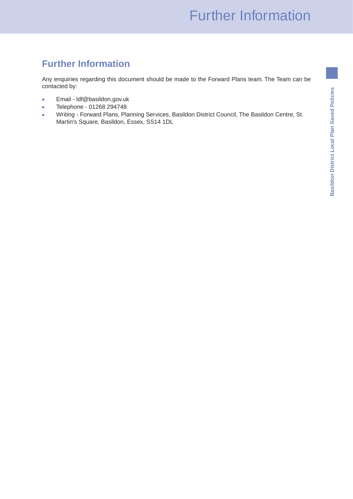# **Further Information**

Any enquiries regarding this document should be made to the Forward Plans team. The Team can be contacted by:

- Email ldf@basildon.gov.uk  $\bullet$
- Telephone 01268 294748  $\ddot{\bullet}$
- Writing Forward Plans, Planning Services, Basildon District Council, The Basildon Centre, St.  $\bullet$ Martin's Square, Basildon, Essex, SS14 1DL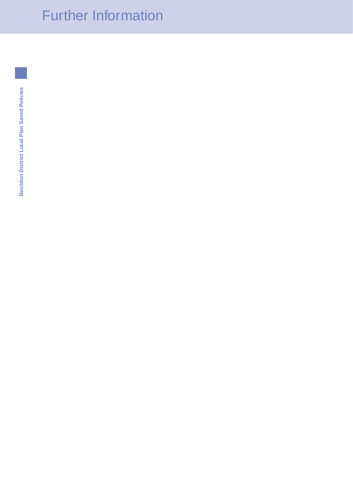# Further Information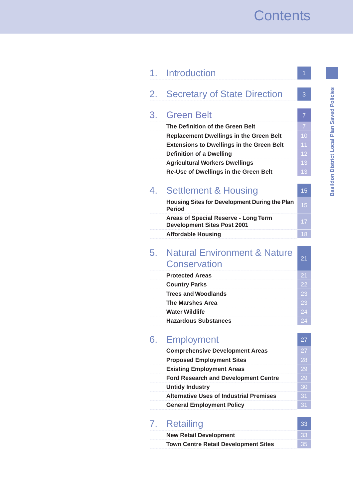# **Contents**

|    | Introduction                                                                      | 1               |
|----|-----------------------------------------------------------------------------------|-----------------|
| 2. | <b>Secretary of State Direction</b>                                               | 3               |
| 3. | <b>Green Belt</b>                                                                 | $\overline{7}$  |
|    | The Definition of the Green Belt                                                  | $\overline{7}$  |
|    | <b>Replacement Dwellings in the Green Belt</b>                                    | 10              |
|    | <b>Extensions to Dwellings in the Green Belt</b>                                  | 11              |
|    | <b>Definition of a Dwelling</b>                                                   | 12              |
|    | <b>Agricultural Workers Dwellings</b>                                             | 13              |
|    | <b>Re-Use of Dwellings in the Green Belt</b>                                      | 13 <sup>°</sup> |
|    |                                                                                   |                 |
| 4. | <b>Settlement &amp; Housing</b>                                                   | 15              |
|    | Housing Sites for Development During the Plan<br><b>Period</b>                    | 15              |
|    | <b>Areas of Special Reserve - Long Term</b><br><b>Development Sites Post 2001</b> | 17              |
|    | <b>Affordable Housing</b>                                                         | 18              |
| 5. | <b>Natural Environment &amp; Nature</b>                                           | $\overline{21}$ |
|    | <b>Conservation</b>                                                               |                 |
|    | <b>Protected Areas</b><br><b>Country Parks</b>                                    | 21<br>22        |

| <b>Trees and Woodlands</b>  |  |
|-----------------------------|--|
| <b>The Marshes Area</b>     |  |
| <b>Water Wildlife</b>       |  |
| <b>Hazardous Substances</b> |  |
|                             |  |

# 6. [Employment](#page-34-0) [27](#page-34-0)

| <b>Comprehensive Development Areas</b>         |    |
|------------------------------------------------|----|
| <b>Proposed Employment Sites</b>               |    |
| <b>Existing Employment Areas</b>               |    |
| <b>Ford Research and Development Centre</b>    | ΩQ |
| <b>Untidy Industry</b>                         |    |
| <b>Alternative Uses of Industrial Premises</b> |    |
| <b>General Employment Policy</b>               |    |

| <b>Retailing</b>              |                                             |  |
|-------------------------------|---------------------------------------------|--|
| <b>New Retail Development</b> |                                             |  |
|                               | <b>Town Centre Retail Development Sites</b> |  |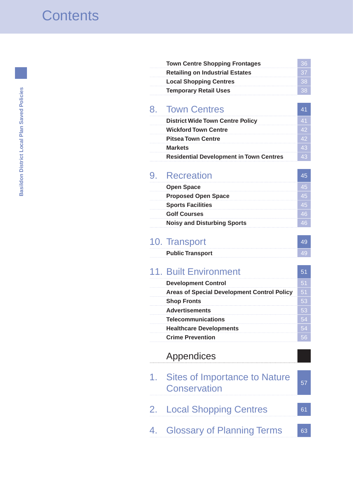# **Contents**

# 8. [Town Centres](#page-48-0) [41](#page-48-0)

|                | <b>District Wide Town Centre Policy</b>        |  |
|----------------|------------------------------------------------|--|
|                | <b>Wickford Town Centre</b>                    |  |
|                | <b>Pitsea Town Centre</b>                      |  |
| <b>Markets</b> |                                                |  |
|                | <b>Residential Development in Town Centres</b> |  |

| Recreation                         |  |
|------------------------------------|--|
| <b>Open Space</b>                  |  |
| <b>Proposed Open Space</b>         |  |
| <b>Sports Facilities</b>           |  |
| <b>Golf Courses</b>                |  |
| <b>Noisy and Disturbing Sports</b> |  |

| 10 | . Transport             |  |
|----|-------------------------|--|
|    | <b>Public Transport</b> |  |

| 11. Built Environment                              |  |
|----------------------------------------------------|--|
| <b>Development Control</b>                         |  |
| <b>Areas of Special Development Control Policy</b> |  |
| <b>Shop Fronts</b>                                 |  |
| <b>Advertisements</b>                              |  |
| <b>Telecommunications</b>                          |  |
| <b>Healthcare Developments</b>                     |  |
| <b>Crime Prevention</b>                            |  |

# Appendices

| 1. Sites of Importance to Nature<br>Conservation |  |
|--------------------------------------------------|--|
| 2. Local Shopping Centres                        |  |
| 4. Glossary of Planning Terms                    |  |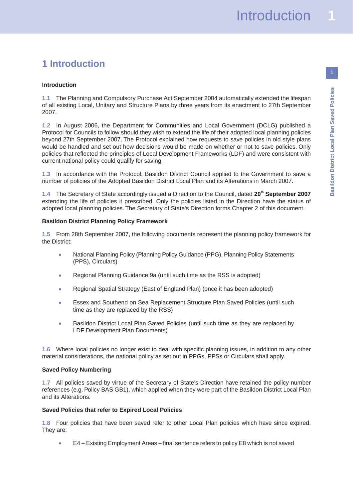# <span id="page-8-0"></span>**1 Introduction**

#### **Introduction**

**1.1** The Planning and Compulsory Purchase Act September 2004 automatically extended the lifespan of all existing Local, Unitary and Structure Plans by three years from its enactment to 27th September 2007.

**1.2** In August 2006, the Department for Communities and Local Government (DCLG) published a Protocol for Councils to follow should they wish to extend the life of their adopted local planning policies beyond 27th September 2007. The Protocol explained how requests to save policies in old style plans would be handled and set out how decisions would be made on whether or not to save policies. Only policies that reflected the principles of Local Development Frameworks (LDF) and were consistent with current national policy could qualify for saving.

**1.3** In accordance with the Protocol, Basildon District Council applied to the Government to save a number of policies of the Adopted Basildon District Local Plan and its Alterations in March 2007.

**1.4** The Secretary of State accordingly issued a Direction to the Council, dated **20th September 2007** extending the life of policies it prescribed. Only the policies listed in the Direction have the status of adopted local planning policies. The Secretary of State's Direction forms Chapter 2 of this document.

#### **Basildon District Planning Policy Framework**

**1.5** From 28th September 2007, the following documents represent the planning policy framework for the District:

- National Planning Policy (Planning Policy Guidance (PPG), Planning Policy Statements (PPS), Circulars)
- Regional Planning Guidance 9a (until such time as the RSS is adopted)  $\bullet$
- Regional Spatial Strategy (East of England Plan) (once it has been adopted)  $\bullet$
- Essex and Southend on Sea Replacement Structure Plan Saved Policies (until such time as they are replaced by the RSS)
- Basildon District Local Plan Saved Policies (until such time as they are replaced by  $\bullet$ LDF Development Plan Documents)

**1.6** Where local policies no longer exist to deal with specific planning issues, in addition to any other material considerations, the national policy as set out in PPGs, PPSs or Circulars shall apply.

#### **Saved Policy Numbering**

**1.7** All policies saved by virtue of the Secretary of State's Direction have retained the policy number references (e.g. Policy BAS GB1), which applied when they were part of the Basildon District Local Plan and its Alterations.

#### **Saved Policies that refer to Expired Local Policies**

**1.8** Four policies that have been saved refer to other Local Plan policies which have since expired. They are:

 $\bullet$ E4 – Existing Employment Areas – final sentence refers to policy E8 which is not saved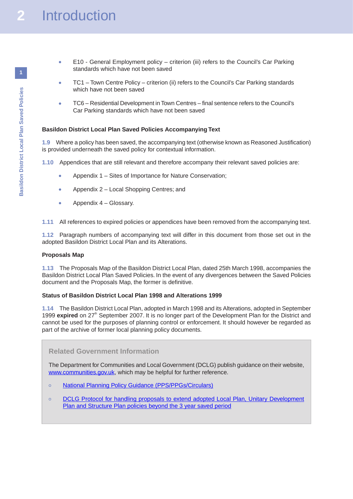- E10 General Employment policy criterion (iii) refers to the Council's Car Parking ò standards which have not been saved
- TC1 Town Centre Policy criterion (ii) refers to the Council's Car Parking standards  $\bullet$ which have not been saved
- TC6 Residential Development in Town Centres final sentence refers to the Council's ä Car Parking standards which have not been saved

#### **Basildon District Local Plan Saved Policies Accompanying Text**

**1.9** Where a policy has been saved, the accompanying text (otherwise known as Reasoned Justification) is provided underneath the saved policy for contextual information.

**1.10** Appendices that are still relevant and therefore accompany their relevant saved policies are:

- Appendix 1 Sites of Importance for Nature Conservation;  $\bullet$
- Appendix 2 Local Shopping Centres; and ò
- Appendix 4 Glossary.  $\bullet$
- **1.11** All references to expired policies or appendices have been removed from the accompanying text.

**1.12** Paragraph numbers of accompanying text will differ in this document from those set out in the adopted Basildon District Local Plan and its Alterations.

#### **Proposals Map**

**1.13** The Proposals Map of the Basildon District Local Plan, dated 25th March 1998, accompanies the Basildon District Local Plan Saved Policies. In the event of any divergences between the Saved Policies document and the Proposals Map, the former is definitive.

#### **Status of Basildon District Local Plan 1998 and Alterations 1999**

**1.14** The Basildon District Local Plan, adopted in March 1998 and its Alterations, adopted in September 1999 **expired** on 27<sup>th</sup> September 2007. It is no longer part of the Development Plan for the District and cannot be used for the purposes of planning control or enforcement. It should however be regarded as part of the archive of former local planning policy documents.

#### **Related Government Information**

The Department for Communities and Local Government (DCLG) publish guidance on their website, [www.communities.gov.uk](http://www.communities.gov.uk), which may be helpful for further reference.

- $\circ$ [National Planning Policy Guidance \(PPS/PPGs/Circulars\)](http://www.communities.gov.uk/planningandbuilding/planning/planningpolicyguidance/planningpolicystatements/)
- $\circ$ [DCLG Protocol for handling proposals to extend adopted Local Plan, Unitary Development](http://www.communities.gov.uk/publications/planningandbuilding/protocolhandling) [Plan and Structure Plan policies beyond the 3 year saved period](http://www.communities.gov.uk/publications/planningandbuilding/protocolhandling)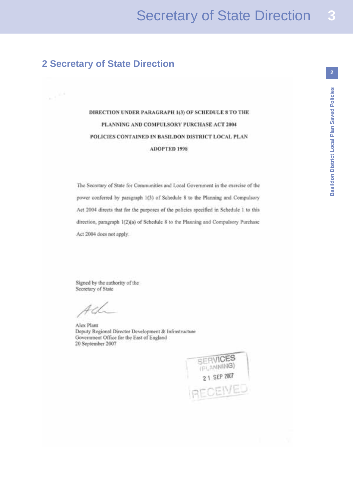# <span id="page-10-0"></span>**2 Secretary of State Direction**

N.

DIRECTION UNDER PARAGRAPH 1(3) OF SCHEDULE 8 TO THE PLANNING AND COMPULSORY PURCHASE ACT 2004 POLICIES CONTAINED IN BASILDON DISTRICT LOCAL PLAN **ADOPTED 1998** 

The Secretary of State for Communities and Local Government in the exercise of the power conferred by paragraph 1(3) of Schedule 8 to the Planning and Compulsory Act 2004 directs that for the purposes of the policies specified in Schedule 1 to this direction, paragraph 1(2)(a) of Schedule 8 to the Planning and Compulsory Purchase Act 2004 does not apply.

Signed by the authority of the Secretary of State

Alex Plant Deputy Regional Director Development & Infrastructure Government Office for the East of England 20 September 2007

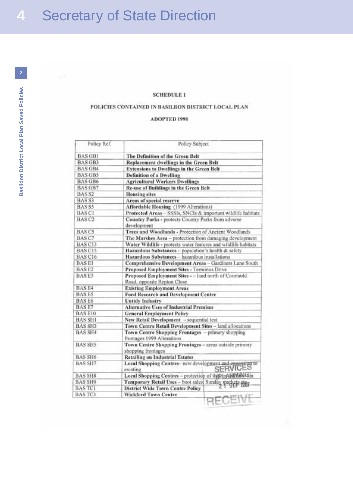#### POLICIES CONTAINED IN BASILDON DISTRICT LOCAL PLAN

#### ADOPTED 1998

| Policy Ref.       | Policy Subject                                                                       |
|-------------------|--------------------------------------------------------------------------------------|
| <b>BAS GB1</b>    | The Definition of the Green Belt                                                     |
| <b>BAS GB3</b>    | Replacement dwellings in the Green Belt                                              |
| <b>BAS GB4</b>    | Extensions to Dwellings in the Green Belt                                            |
| <b>BAS GB5</b>    | Definition of a Dwelling                                                             |
| <b>BAS GB6</b>    | <b>Agricultural Workers Dwellings</b>                                                |
| <b>BAS GB7</b>    | Re-use of Buildings in the Green Belt                                                |
| BAS <sub>S2</sub> | <b>Housing</b> sites                                                                 |
| BAS S3            | Areas of special reserve                                                             |
| <b>BAS S5</b>     | Affordable Housing (1999 Alterations)                                                |
| <b>BAS C1</b>     | Protected Areas -- SSSIs, SNCIs & important wildlife habitats                        |
| BAS <sub>C2</sub> | Country Parks - protects Country Parks from adverse<br>development                   |
| <b>BAS CS</b>     | Trees and Woodlands - Protection of Ancient Woodlands                                |
| BAS C7            | The Marshes Area - protection from damaging development                              |
| BAS C13           | Water Wildlife - protects water features and wildlife habitats                       |
| BAS C15           | Hazardous Substances -- population's health & safety                                 |
| BAS C16           | Hazardous Substances - hazardous installations                                       |
| <b>BAS EI</b>     | Comprehensive Development Areas - Gardiners Lane South                               |
| BAS <sub>E2</sub> | Proposed Employment Sites - Terminus Drive                                           |
| BAS E3            | Proposed Employment Sites - - land north of Courtauld<br>Road, opposite Repton Close |
| <b>BASE4</b>      | <b>Existing Employment Areas</b>                                                     |
| <b>BASES</b>      | Ford Research and Development Centre                                                 |
| <b>BASE6</b>      | <b>Untidy Industry</b>                                                               |
| <b>BASE7</b>      | <b>Alternative Uses of Industrial Premises</b>                                       |
| <b>BAS E10</b>    | <b>General Employment Policy</b>                                                     |
| <b>BAS SHI</b>    | New Retail Development - sequential test                                             |
| <b>BAS SH3</b>    | Town Centre Retail Development Sites - land allocations                              |
| <b>BAS SH4</b>    | Town Centre Shopping Frontages - primary shopping<br>frontages 1999 Alterations      |
| <b>BAS SH5</b>    | Town Centre Shopping Frontages - areas outside primary<br>shopping frontages         |
| <b>BAS SH6</b>    | <b>Retailing on Industrial Estates</b>                                               |
| <b>BAS SH7</b>    | Local Shopping Centres- new development and expansing to<br>SERVICES<br>existing     |
| <b>BAS SH8</b>    | Local Shopping Centres - protection of the Preschildlineston                         |
| <b>BAS SH9</b>    | Temporary Retail Uses - boot sales Sunday markets stor                               |
| <b>BASTC1</b>     | <b>District Wide Town Centre Policy</b>                                              |
| <b>BASTC3</b>     | <b>Wickford Town Centre</b>                                                          |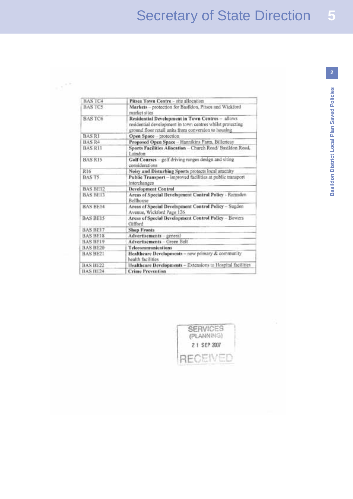# Secretary of State Direction **5**

| HAS TC4         | Pitsea Town Centre - 11to allocation.                                                                                                                                 |
|-----------------|-----------------------------------------------------------------------------------------------------------------------------------------------------------------------|
| BAS TC5         | Markets - protection for Basildon, Pitsca and Wickford<br>market sites                                                                                                |
| <b>BAS TC6</b>  | Residential Development in Town Centres - allows<br>residential development in town centres whilst protecting<br>ground floor retail units from conversion to housing |
| <b>BASRI</b>    | Open Space - protection                                                                                                                                               |
| <b>BASR4</b>    | Proposed Open Space - Hannikins Farm, Billericay                                                                                                                      |
| <b>BASR11</b>   | Sports Facilities Allocation - Church Road/ Basildon Road,<br>Laindon                                                                                                 |
| <b>BASRIS</b>   | Golf Courses - golf driving ranges design and siting<br>considerations                                                                                                |
| R16             | Noisy and Disturbing Sports protects local amenity                                                                                                                    |
| BAS T5          | Public Transport - improved facilities at public transport<br>interchanges                                                                                            |
| <b>BAS BEI2</b> | <b>Development Control</b>                                                                                                                                            |
| <b>BAS HE13</b> | Areas of Special Development Control Policy - Ramsden<br><b>Bellhouse</b>                                                                                             |
| <b>BAS BE14</b> | Areas of Special Development Control Policy - Sugden<br>Avenue, Wickford Page 126                                                                                     |
| <b>BAS BE15</b> | Areas of Special Development Control Policy - Bowers<br>Crifford                                                                                                      |
| <b>BAS BE17</b> | <b>Shop Fronts</b>                                                                                                                                                    |
| <b>BAS BEIS</b> | Advertisements - general                                                                                                                                              |
| <b>BAS BE19</b> | Advertisements - Green Belt                                                                                                                                           |
| <b>BAS BE20</b> | <b>Telecommunications</b>                                                                                                                                             |
| <b>BAS BE21</b> | Healthcare Developments - new primary & community<br>health facilities                                                                                                |
| BAS BE22        | Healthcare Developments - Extensions to Hospital facilities                                                                                                           |
| <b>BAS BE24</b> | <b>Crime Prevention</b>                                                                                                                                               |

 $\sim 10^{10}$ 

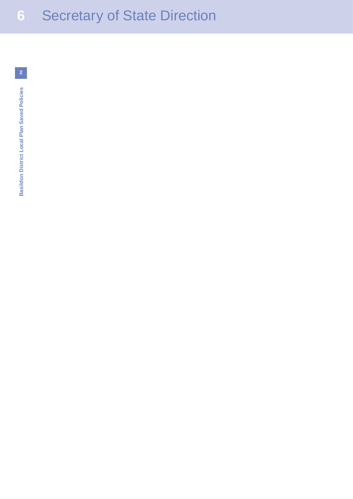# **6** Secretary of State Direction

**2**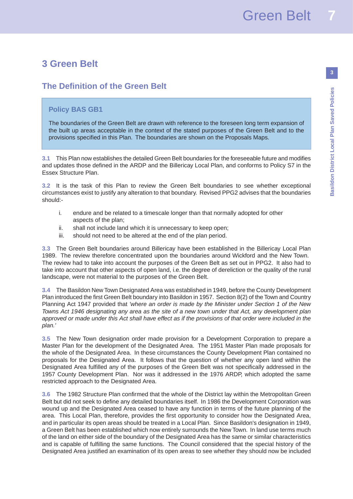# <span id="page-14-0"></span>**3 Green Belt**

# <span id="page-14-1"></span>**The Definition of the Green Belt**

### **Policy BAS GB1**

The boundaries of the Green Belt are drawn with reference to the foreseen long term expansion of the built up areas acceptable in the context of the stated purposes of the Green Belt and to the provisions specified in this Plan. The boundaries are shown on the Proposals Maps.

**3.1** This Plan now establishes the detailed Green Belt boundaries for the foreseeable future and modifies and updates those defined in the ARDP and the Billericay Local Plan, and conforms to Policy S7 in the Essex Structure Plan.

**3.2** It is the task of this Plan to review the Green Belt boundaries to see whether exceptional circumstances exist to justify any alteration to that boundary. Revised PPG2 advises that the boundaries should:-

- i. endure and be related to a timescale longer than that normally adopted for other aspects of the plan;
- ii. shall not include land which it is unnecessary to keep open;
- iii. should not need to be altered at the end of the plan period.

**3.3** The Green Belt boundaries around Billericay have been established in the Billericay Local Plan 1989. The review therefore concentrated upon the boundaries around Wickford and the New Town. The review had to take into account the purposes of the Green Belt as set out in PPG2. It also had to take into account that other aspects of open land, i.e. the degree of dereliction or the quality of the rural landscape, were not material to the purposes of the Green Belt.

**3.4** The Basildon New Town Designated Area was established in 1949, before the County Development Plan introduced the first Green Belt boundary into Basildon in 1957. Section 8(2) of the Town and Country Planning Act 1947 provided that *'where an order is made by the Minister under Section 1 of the New Towns Act 1946 designating any area as the site of a new town under that Act, any development plan approved or made under this Act shall have effect as if the provisions of that order were included in the plan.'*

**3.5** The New Town designation order made provision for a Development Corporation to prepare a Master Plan for the development of the Designated Area. The 1951 Master Plan made proposals for the whole of the Designated Area. In these circumstances the County Development Plan contained no proposals for the Designated Area. It follows that the question of whether any open land within the Designated Area fulfilled any of the purposes of the Green Belt was not specifically addressed in the 1957 County Development Plan. Nor was it addressed in the 1976 ARDP, which adopted the same restricted approach to the Designated Area.

**3.6** The 1982 Structure Plan confirmed that the whole of the District lay within the Metropolitan Green Belt but did not seek to define any detailed boundaries itself. In 1986 the Development Corporation was wound up and the Designated Area ceased to have any function in terms of the future planning of the area. This Local Plan, therefore, provides the first opportunity to consider how the Designated Area, and in particular its open areas should be treated in a Local Plan. Since Basildon's designation in 1949, a Green Belt has been established which now entirely surrounds the New Town. In land use terms much of the land on either side of the boundary of the Designated Area has the same or similar characteristics and is capable of fulfilling the same functions. The Council considered that the special history of the Designated Area justified an examination of its open areas to see whether they should now be included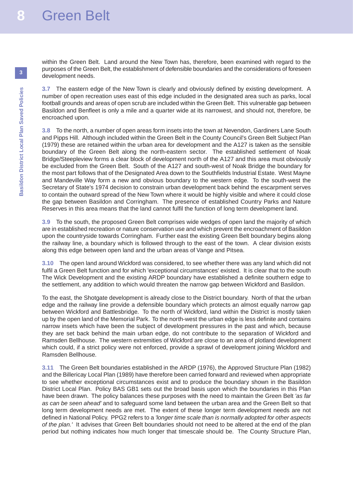within the Green Belt. Land around the New Town has, therefore, been examined with regard to the purposes of the Green Belt, the establishment of defensible boundaries and the considerations of foreseen development needs.

**3.7** The eastern edge of the New Town is clearly and obviously defined by existing development. A number of open recreation uses east of this edge included in the designated area such as parks, local football grounds and areas of open scrub are included within the Green Belt. This vulnerable gap between Basildon and Benfleet is only a mile and a quarter wide at its narrowest, and should not, therefore, be encroached upon.

**3.8** To the north, a number of open areas form insets into the town at Nevendon, Gardiners Lane South and Pipps Hill. Although included within the Green Belt in the County Council's Green Belt Subject Plan (1979) these are retained within the urban area for development and the A127 is taken as the sensible boundary of the Green Belt along the north-eastern sector. The established settlement of Noak Bridge/Steepleview forms a clear block of development north of the A127 and this area must obviously be excluded from the Green Belt. South of the A127 and south-west of Noak Bridge the boundary for the most part follows that of the Designated Area down to the Southfields Industrial Estate. West Mayne and Mandeville Way form a new and obvious boundary to the western edge. To the south-west the Secretary of State's 1974 decision to constrain urban development back behind the escarpment serves to contain the outward spread of the New Town where it would be highly visible and where it could close the gap between Basildon and Corringham. The presence of established Country Parks and Nature Reserves in this area means that the land cannot fulfil the function of long term development land.

**3.9** To the south, the proposed Green Belt comprises wide wedges of open land the majority of which are in established recreation or nature conservation use and which prevent the encroachment of Basildon upon the countryside towards Corringham. Further east the existing Green Belt boundary begins along the railway line, a boundary which is followed through to the east of the town. A clear division exists along this edge between open land and the urban areas of Vange and Pitsea.

**3.10** The open land around Wickford was considered, to see whether there was any land which did not fulfil a Green Belt function and for which 'exceptional circumstances' existed. It is clear that to the south The Wick Development and the existing ARDP boundary have established a definite southern edge to the settlement, any addition to which would threaten the narrow gap between Wickford and Basildon.

To the east, the Shotgate development is already close to the District boundary. North of that the urban edge and the railway line provide a defensible boundary which protects an almost equally narrow gap between Wickford and Battlesbridge. To the north of Wickford, land within the District is mostly taken up by the open land of the Memorial Park. To the north-west the urban edge is less definite and contains narrow insets which have been the subject of development pressures in the past and which, because they are set back behind the main urban edge, do not contribute to the separation of Wickford and Ramsden Bellhouse. The western extremities of Wickford are close to an area of plotland development which could, if a strict policy were not enforced, provide a sprawl of development joining Wickford and Ramsden Bellhouse.

**3.11** The Green Belt boundaries established in the ARDP (1976), the Approved Structure Plan (1982) and the Billericay Local Plan (1989) have therefore been carried forward and reviewed when appropriate to see whether exceptional circumstances exist and to produce the boundary shown in the Basildon District Local Plan. Policy BAS GB1 sets out the broad basis upon which the boundaries in this Plan have been drawn. The policy balances these purposes with the need to maintain the Green Belt *'as far as can be seen ahead'* and to safeguard some land between the urban area and the Green Belt so that long term development needs are met. The extent of these longer term development needs are not defined in National Policy. PPG2 refers to a *'longer time scale than is normally adopted for other aspects of the plan.'* It advises that Green Belt boundaries should not need to be altered at the end of the plan period but nothing indicates how much longer that timescale should be. The County Structure Plan,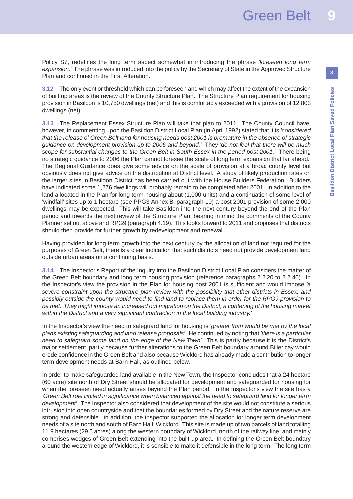Policy S7, redefines the long term aspect somewhat in introducing the phrase *'foreseen long term expansion.'* The phrase was introduced into the policy by the Secretary of State in the Approved Structure Plan and continued in the First Alteration.

**3.12** The only event or threshold which can be foreseen and which may affect the extent of the expansion of built up areas is the review of the County Structure Plan. The Structure Plan requirement for housing provision in Basildon is 10,750 dwellings (net) and this is comfortably exceeded with a provision of 12,803 dwellings (net).

**3.13** The Replacement Essex Structure Plan will take that plan to 2011. The County Council have, however, in commenting upon the Basildon District Local Plan (in April 1992) stated that it is *'considered that the release of Green Belt land for housing needs post 2001 is premature in the absence of strategic guidance on development provision up to 2006 and beyond.'* They *'do not feel that there will be much scope for substantial changes to the Green Belt in South Essex in the period post 2001.'* There being no strategic guidance to 2006 the Plan cannot foresee the scale of long term expansion that far ahead. The Regional Guidance does give some advice on the scale of provision at a broad county level but obviously does not give advice on the distribution at District level. A study of likely production rates on the larger sites in Basildon District has been carried out with the House Builders Federation. Builders have indicated some 1,276 dwellings will probably remain to be completed after 2001. In addition to the land allocated in the Plan for long term housing about (1,000 units) and a continuation of some level of 'windfall' sites up to 1 hectare (see PPG3 Annex B, paragraph 10) a post 2001 provision of some 2,000 dwellings may be expected. This will take Basildon into the next century beyond the end of the Plan period and towards the next review of the Structure Plan, bearing in mind the comments of the County Planner set out above and RPG9 (paragraph 4.19). This looks forward to 2011 and proposes that districts should then provide for further growth by redevelopment and renewal.

Having provided for long term growth into the next century by the allocation of land not required for the purposes of Green Belt, there is a clear indication that such districts need not provide development land outside urban areas on a continuing basis.

**3.14** The Inspector's Report of the Inquiry into the Basildon District Local Plan considers the matter of the Green Belt boundary and long term housing provision (reference paragraphs 2.2.20 to 2.2.40). In the Inspector's view the provision in the Plan for housing post 2001 is sufficient and would impose *'a severe constraint upon the structure plan review with the possibility that other districts in Essex, and possibly outside the county would need to find land to replace them in order for the RPG9 provision to be met. They might impose an increased out migration on the District, a tightening of the housing market within the District and a very significant contraction in the local building industry.'*

In the Inspector's view the need to safeguard land for housing is *'greater than would be met by the local plans existing safeguarding and land release proposals'*. He continued by noting that *'there is a particular need to safeguard some land on the edge of the New Town'*. This is partly because it is the District's major settlement, partly because further alterations to the Green Belt boundary around Billericay would erode confidence in the Green Belt and also because Wickford has already made a contribution to longer term development needs at Barn Hall, as outlined below.

In order to make safeguarded land available in the New Town, the Inspector concludes that a 24 hectare (60 acre) site north of Dry Street should be allocated for development and safeguarded for housing for when the foreseen need actually arises beyond the Plan period. In the Inspector's view the site has a *'Green Belt role limited in significance when balanced against the need to safeguard land for longer term development'*. The Inspector also considered that development of the site would not constitute a serious intrusion into open countryside and that the boundaries formed by Dry Street and the nature reserve are strong and defensible. In addition, the Inspector supported the allocation for longer term development needs of a site north and south of Barn Hall, Wickford. This site is made up of two parcels of land totalling 11.9 hectares (29.5 acres) along the western boundary of Wickford, north of the railway line, and mainly comprises wedges of Green Belt extending into the built-up area. In defining the Green Belt boundary around the western edge of Wickford, it is sensible to make it defensible in the long term. The long term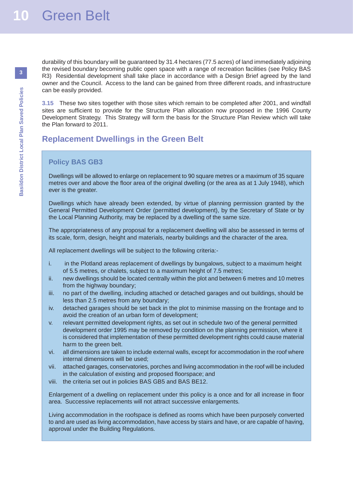durability of this boundary will be guaranteed by 31.4 hectares (77.5 acres) of land immediately adjoining the revised boundary becoming public open space with a range of recreation facilities (see Policy BAS R3) Residential development shall take place in accordance with a Design Brief agreed by the land owner and the Council. Access to the land can be gained from three different roads, and infrastructure can be easily provided.

**3.15** These two sites together with those sites which remain to be completed after 2001, and windfall sites are sufficient to provide for the Structure Plan allocation now proposed in the 1996 County Development Strategy. This Strategy will form the basis for the Structure Plan Review which will take the Plan forward to 2011.

## <span id="page-17-0"></span>**Replacement Dwellings in the Green Belt**

#### **Policy BAS GB3**

Dwellings will be allowed to enlarge on replacement to 90 square metres or a maximum of 35 square metres over and above the floor area of the original dwelling (or the area as at 1 July 1948), which ever is the greater.

Dwellings which have already been extended, by virtue of planning permission granted by the General Permitted Development Order (permitted development), by the Secretary of State or by the Local Planning Authority, may be replaced by a dwelling of the same size.

The appropriateness of any proposal for a replacement dwelling will also be assessed in terms of its scale, form, design, height and materials, nearby buildings and the character of the area.

All replacement dwellings will be subject to the following criteria:-

- i. in the Plotland areas replacement of dwellings by bungalows, subject to a maximum height of 5.5 metres, or chalets, subject to a maximum height of 7.5 metres;
- ii. new dwellings should be located centrally within the plot and between 6 metres and 10 metres from the highway boundary;
- iii. no part of the dwelling, including attached or detached garages and out buildings, should be less than 2.5 metres from any boundary;
- iv. detached garages should be set back in the plot to minimise massing on the frontage and to avoid the creation of an urban form of development;
- v. relevant permitted development rights, as set out in schedule two of the general permitted development order 1995 may be removed by condition on the planning permission, where it is considered that implementation of these permitted development rights could cause material harm to the green belt.
- vi. all dimensions are taken to include external walls, except for accommodation in the roof where internal dimensions will be used;
- vii. attached garages, conservatories, porches and living accommodation in the roof will be included in the calculation of existing and proposed floorspace; and
- viii. the criteria set out in policies BAS GB5 and BAS BE12.

Enlargement of a dwelling on replacement under this policy is a once and for all increase in floor area. Successive replacements will not attract successive enlargements.

Living accommodation in the roofspace is defined as rooms which have been purposely converted to and are used as living accommodation, have access by stairs and have, or are capable of having, approval under the Building Regulations.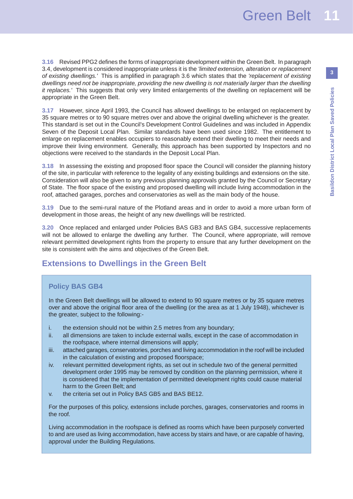**3.16** Revised PPG2 defines the forms of inappropriate development within the Green Belt. In paragraph 3.4, development is considered inappropriate unless it is the *'limited extension, alteration or replacement of existing dwellings.'* This is amplified in paragraph 3.6 which states that the *'replacement of existing dwellings need not be inappropriate, providing the new dwelling is not materially larger than the dwelling it replaces.'* This suggests that only very limited enlargements of the dwelling on replacement will be appropriate in the Green Belt.

**3.17** However, since April 1993, the Council has allowed dwellings to be enlarged on replacement by 35 square metres or to 90 square metres over and above the original dwelling whichever is the greater. This standard is set out in the Council's Development Control Guidelines and was included in Appendix Seven of the Deposit Local Plan. Similar standards have been used since 1982. The entitlement to enlarge on replacement enables occupiers to reasonably extend their dwelling to meet their needs and improve their living environment. Generally, this approach has been supported by Inspectors and no objections were received to the standards in the Deposit Local Plan.

**3.18** In assessing the existing and proposed floor space the Council will consider the planning history of the site, in particular with reference to the legality of any existing buildings and extensions on the site. Consideration will also be given to any previous planning approvals granted by the Council or Secretary of State. The floor space of the existing and proposed dwelling will include living accommodation in the roof, attached garages, porches and conservatories as well as the main body of the house.

**3.19** Due to the semi-rural nature of the Plotland areas and in order to avoid a more urban form of development in those areas, the height of any new dwellings will be restricted.

<span id="page-18-0"></span>**3.20** Once replaced and enlarged under Policies BAS GB3 and BAS GB4, successive replacements will not be allowed to enlarge the dwelling any further. The Council, where appropriate, will remove relevant permitted development rights from the property to ensure that any further development on the site is consistent with the aims and objectives of the Green Belt.

# **Extensions to Dwellings in the Green Belt**

## **Policy BAS GB4**

In the Green Belt dwellings will be allowed to extend to 90 square metres or by 35 square metres over and above the original floor area of the dwelling (or the area as at 1 July 1948), whichever is the greater, subject to the following:-

- i. the extension should not be within 2.5 metres from any boundary;
- ii. all dimensions are taken to include external walls, except in the case of accommodation in the roofspace, where internal dimensions will apply;
- iii. attached garages, conservatories, porches and living accommodation in the roof will be included in the calculation of existing and proposed floorspace;
- iv. relevant permitted development rights, as set out in schedule two of the general permitted development order 1995 may be removed by condition on the planning permission, where it is considered that the implementation of permitted development rights could cause material harm to the Green Belt; and
- v. the criteria set out in Policy BAS GB5 and BAS BE12.

For the purposes of this policy, extensions include porches, garages, conservatories and rooms in the roof.

Living accommodation in the roofspace is defined as rooms which have been purposely converted to and are used as living accommodation, have access by stairs and have, or are capable of having, approval under the Building Regulations.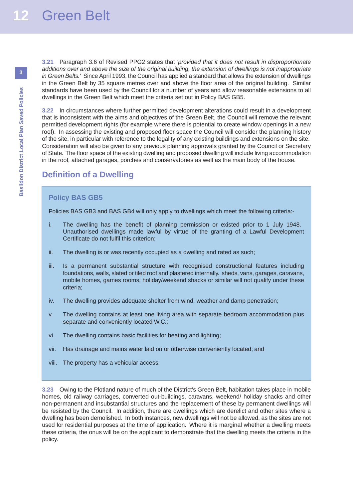**3.21** Paragraph 3.6 of Revised PPG2 states that *'provided that it does not result in disproportionate additions over and above the size of the original building, the extension of dwellings is not inappropriate in Green Belts.'* Since April 1993, the Council has applied a standard that allows the extension of dwellings in the Green Belt by 35 square metres over and above the floor area of the original building. Similar standards have been used by the Council for a number of years and allow reasonable extensions to all dwellings in the Green Belt which meet the criteria set out in Policy BAS GB5.

**3.22** In circumstances where further permitted development alterations could result in a development that is inconsistent with the aims and objectives of the Green Belt, the Council will remove the relevant permitted development rights (for example where there is potential to create window openings in a new roof). In assessing the existing and proposed floor space the Council will consider the planning history of the site, in particular with reference to the legality of any existing buildings and extensions on the site. Consideration will also be given to any previous planning approvals granted by the Council or Secretary of State. The floor space of the existing dwelling and proposed dwelling will include living accommodation in the roof, attached garages, porches and conservatories as well as the main body of the house.

## <span id="page-19-0"></span>**Definition of a Dwelling**

#### **Policy BAS GB5**

Policies BAS GB3 and BAS GB4 will only apply to dwellings which meet the following criteria:-

- i. The dwelling has the benefit of planning permission or existed prior to 1 July 1948. Unauthorised dwellings made lawful by virtue of the granting of a Lawful Development Certificate do not fulfil this criterion;
- ii. The dwelling is or was recently occupied as a dwelling and rated as such;
- iii. Is a permanent substantial structure with recognised constructional features including foundations, walls, slated or tiled roof and plastered internally. sheds, vans, garages, caravans, mobile homes, games rooms, holiday/weekend shacks or similar will not qualify under these criteria;
- iv. The dwelling provides adequate shelter from wind, weather and damp penetration;
- v. The dwelling contains at least one living area with separate bedroom accommodation plus separate and conveniently located W.C.;
- vi. The dwelling contains basic facilities for heating and lighting;
- vii. Has drainage and mains water laid on or otherwise conveniently located; and
- viii. The property has a vehicular access.

**3.23** Owing to the Plotland nature of much of the District's Green Belt, habitation takes place in mobile homes, old railway carriages, converted out-buildings, caravans, weekend/ holiday shacks and other non-permanent and insubstantial structures and the replacement of these by permanent dwellings will be resisted by the Council. In addition, there are dwellings which are derelict and other sites where a dwelling has been demolished. In both instances, new dwellings will not be allowed, as the sites are not used for residential purposes at the time of application. Where it is marginal whether a dwelling meets these criteria, the onus will be on the applicant to demonstrate that the dwelling meets the criteria in the policy.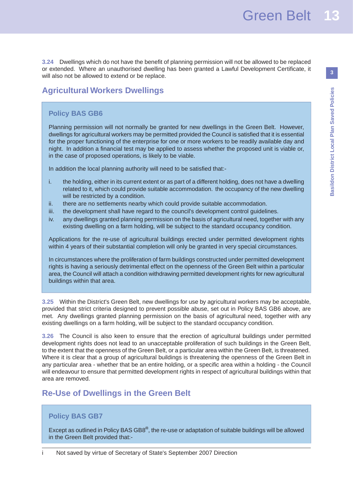**3.24** Dwellings which do not have the benefit of planning permission will not be allowed to be replaced or extended. Where an unauthorised dwelling has been granted a Lawful Development Certificate, it will also not be allowed to extend or be replace.

# <span id="page-20-0"></span>**Agricultural Workers Dwellings**

### **Policy BAS GB6**

Planning permission will not normally be granted for new dwellings in the Green Belt. However, dwellings for agricultural workers may be permitted provided the Council is satisfied that it is essential for the proper functioning of the enterprise for one or more workers to be readily available day and night. In addition a financial test may be applied to assess whether the proposed unit is viable or, in the case of proposed operations, is likely to be viable.

In addition the local planning authority will need to be satisfied that:-

- i. the holding, either in its current extent or as part of a different holding, does not have a dwelling related to it, which could provide suitable accommodation. the occupancy of the new dwelling will be restricted by a condition.
- ii. there are no settlements nearby which could provide suitable accommodation.
- iii. the development shall have regard to the council's development control guidelines.
- iv. any dwellings granted planning permission on the basis of agricultural need, together with any existing dwelling on a farm holding, will be subject to the standard occupancy condition.

Applications for the re-use of agricultural buildings erected under permitted development rights within 4 years of their substantial completion will only be granted in very special circumstances.

In circumstances where the proliferation of farm buildings constructed under permitted development rights is having a seriously detrimental effect on the openness of the Green Belt within a particular area, the Council will attach a condition withdrawing permitted development rights for new agricultural buildings within that area.

**3.25** Within the District's Green Belt, new dwellings for use by agricultural workers may be acceptable, provided that strict criteria designed to prevent possible abuse, set out in Policy BAS GB6 above, are met. Any dwellings granted planning permission on the basis of agricultural need, together with any existing dwellings on a farm holding, will be subject to the standard occupancy condition.

<span id="page-20-1"></span>**3.26** The Council is also keen to ensure that the erection of agricultural buildings under permitted development rights does not lead to an unacceptable proliferation of such buildings in the Green Belt, to the extent that the openness of the Green Belt, or a particular area within the Green Belt, is threatened. Where it is clear that a group of agricultural buildings is threatening the openness of the Green Belt in any particular area - whether that be an entire holding, or a specific area within a holding - the Council will endeavour to ensure that permitted development rights in respect of agricultural buildings within that area are removed.

## **Re-Use of Dwellings in the Green Belt**

#### **Policy BAS GB7**

Except as outlined in Policy BAS GB8<sup>(i)</sup>, the re-use or adaptation of suitable buildings will be allowed in the Green Belt provided that:-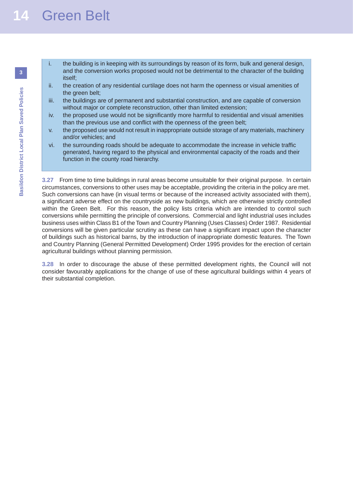- i. the building is in keeping with its surroundings by reason of its form, bulk and general design, and the conversion works proposed would not be detrimental to the character of the building itself;
- ii. the creation of any residential curtilage does not harm the openness or visual amenities of the green belt;
- iii. the buildings are of permanent and substantial construction, and are capable of conversion without major or complete reconstruction, other than limited extension;
- iv. the proposed use would not be significantly more harmful to residential and visual amenities than the previous use and conflict with the openness of the green belt;
- v. the proposed use would not result in inappropriate outside storage of any materials, machinery and/or vehicles; and
- vi. the surrounding roads should be adequate to accommodate the increase in vehicle traffic generated, having regard to the physical and environmental capacity of the roads and their function in the county road hierarchy.

**3.27** From time to time buildings in rural areas become unsuitable for their original purpose. In certain circumstances, conversions to other uses may be acceptable, providing the criteria in the policy are met. Such conversions can have (in visual terms or because of the increased activity associated with them), a significant adverse effect on the countryside as new buildings, which are otherwise strictly controlled within the Green Belt. For this reason, the policy lists criteria which are intended to control such conversions while permitting the principle of conversions. Commercial and light industrial uses includes business uses within Class B1 of the Town and Country Planning (Uses Classes) Order 1987. Residential conversions will be given particular scrutiny as these can have a significant impact upon the character of buildings such as historical barns, by the introduction of inappropriate domestic features. The Town and Country Planning (General Permitted Development) Order 1995 provides for the erection of certain agricultural buildings without planning permission.

**3.28** In order to discourage the abuse of these permitted development rights, the Council will not consider favourably applications for the change of use of these agricultural buildings within 4 years of their substantial completion.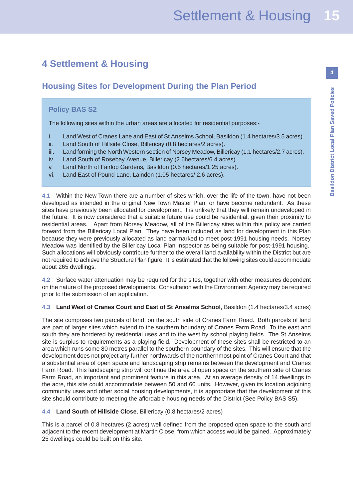# <span id="page-22-0"></span>**4 Settlement & Housing**

# <span id="page-22-1"></span>**Housing Sites for Development During the Plan Period**

### **Policy BAS S2**

The following sites within the urban areas are allocated for residential purposes:-

- i. Land West of Cranes Lane and East of St Anselms School, Basildon (1.4 hectares/3.5 acres).
- ii. Land South of Hillside Close, Billericay (0.8 hectares/2 acres).
- iii. Land forming the North Western section of Norsey Meadow, Billericay (1.1 hectares/2.7 acres).
- iv. Land South of Rosebay Avenue, Billericay (2.6hectares/6.4 acres).
- v. Land North of Fairlop Gardens, Basildon (0.5 hectares/1.25 acres).
- vi. Land East of Pound Lane, Laindon (1.05 hectares/ 2.6 acres).

**4.1** Within the New Town there are a number of sites which, over the life of the town, have not been developed as intended in the original New Town Master Plan, or have become redundant. As these sites have previously been allocated for development, it is unlikely that they will remain undeveloped in the future. It is now considered that a suitable future use could be residential, given their proximity to residential areas. Apart from Norsey Meadow, all of the Billericay sites within this policy are carried forward from the Billericay Local Plan. They have been included as land for development in this Plan because they were previously allocated as land earmarked to meet post-1991 housing needs. Norsey Meadow was identified by the Billericay Local Plan Inspector as being suitable for post-1991 housing. Such allocations will obviously contribute further to the overall land availability within the District but are not required to achieve the Structure Plan figure. It is estimated that the following sites could accommodate about 265 dwellings.

**4.2** Surface water attenuation may be required for the sites, together with other measures dependent on the nature of the proposed developments. Consultation with the Environment Agency may be required prior to the submission of an application.

#### **4.3 Land West of Cranes Court and East of St Anselms School**, Basildon (1.4 hectares/3.4 acres)

The site comprises two parcels of land, on the south side of Cranes Farm Road. Both parcels of land are part of larger sites which extend to the southern boundary of Cranes Farm Road. To the east and south they are bordered by residential uses and to the west by school playing fields. The St Anselms site is surplus to requirements as a playing field. Development of these sites shall be restricted to an area which runs some 80 metres parallel to the southern boundary of the sites. This will ensure that the development does not project any further northwards of the northernmost point of Cranes Court and that a substantial area of open space and landscaping strip remains between the development and Cranes Farm Road. This landscaping strip will continue the area of open space on the southern side of Cranes Farm Road, an important and prominent feature in this area. At an average density of 14 dwellings to the acre, this site could accommodate between 50 and 60 units. However, given its location adjoining community uses and other social housing developments, it is appropriate that the development of this site should contribute to meeting the affordable housing needs of the District (See Policy BAS S5).

#### **4.4 Land South of Hillside Close**, Billericay (0.8 hectares/2 acres)

This is a parcel of 0.8 hectares (2 acres) well defined from the proposed open space to the south and adjacent to the recent development at Martin Close, from which access would be gained. Approximately 25 dwellings could be built on this site.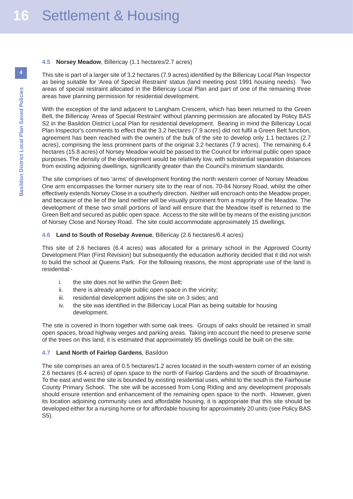#### **4.5 Norsey Meadow**, Billericay (1.1 hectares/2.7 acres)

This site is part of a larger site of 3.2 hectares (7.9 acres) identified by the Billericay Local Plan Inspector as being suitable for 'Area of Special Restraint' status (land meeting post 1991 housing needs). Two areas of special restraint allocated in the Billericay Local Plan and part of one of the remaining three areas have planning permission for residential development.

With the exception of the land adjacent to Langham Crescent, which has been returned to the Green Belt, the Billericay 'Areas of Special Restraint' without planning permission are allocated by Policy BAS S2 in the Basildon District Local Plan for residential development. Bearing in mind the Billericay Local Plan Inspector's comments to effect that the 3.2 hectares (7.9 acres) did not fulfil a Green Belt function, agreement has been reached with the owners of the bulk of the site to develop only 1.1 hectares (2.7 acres), comprising the less prominent parts of the original 3.2 hectares (7.9 acres). The remaining 6.4 hectares (15.8 acres) of Norsey Meadow would be passed to the Council for informal public open space purposes. The density of the development would be relatively low, with substantial separation distances from existing adjoining dwellings, significantly greater than the Council's minimum standards.

The site comprises of two 'arms' of development fronting the north western corner of Norsey Meadow. One arm encompasses the former nursery site to the rear of nos. 70-84 Norsey Road, whilst the other effectively extends Norsey Close in a southerly direction. Neither will encroach onto the Meadow proper, and because of the lie of the land neither will be visually prominent from a majority of the Meadow. The development of these two small portions of land will ensure that the Meadow itself is returned to the Green Belt and secured as public open space. Access to the site will be by means of the existing junction of Norsey Close and Norsey Road. The site could accommodate approximately 15 dwellings.

#### **4.6 Land to South of Rosebay Avenue**, Billericay (2.6 hectares/6.4 acres)

This site of 2.6 hectares (6.4 acres) was allocated for a primary school in the Approved County Development Plan (First Revision) but subsequently the education authority decided that it did not wish to build the school at Queens Park. For the following reasons, the most appropriate use of the land is residential:-

- i. the site does not lie within the Green Belt;
- ii. there is already ample public open space in the vicinity;
- iii. residential development adjoins the site on 3 sides; and
- iv. the site was identified in the Billericay Local Plan as being suitable for housing development.

The site is covered in thorn together with some oak trees. Groups of oaks should be retained in small open spaces, broad highway verges and parking areas. Taking into account the need to preserve some of the trees on this land, it is estimated that approximately 85 dwellings could be built on the site.

#### **4.7 Land North of Fairlop Gardens**, Basildon

The site comprises an area of 0.5 hectares/1.2 acres located in the south-western corner of an existing 2.6 hectares (6.4 acres) of open space to the north of Fairlop Gardens and the south of Broadmayne. To the east and west the site is bounded by existing residential uses, whilst to the south is the Fairhouse County Primary School. The site will be accessed from Long Riding and any development proposals should ensure retention and enhancement of the remaining open space to the north. However, given its location adjoining community uses and affordable housing, it is appropriate that this site should be developed either for a nursing home or for affordable housing for approximately 20 units (see Policy BAS S5).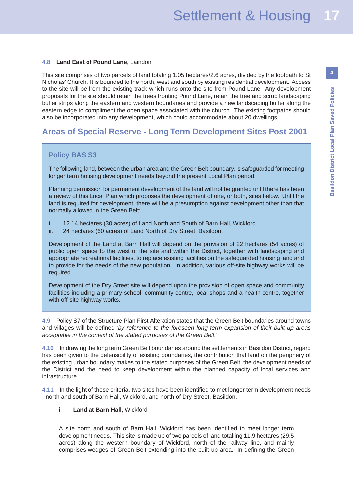#### **4.8 Land East of Pound Lane**, Laindon

This site comprises of two parcels of land totaling 1.05 hectares/2.6 acres, divided by the footpath to St Nicholas' Church. It is bounded to the north, west and south by existing residential development. Access to the site will be from the existing track which runs onto the site from Pound Lane. Any development proposals for the site should retain the trees fronting Pound Lane, retain the tree and scrub landscaping buffer strips along the eastern and western boundaries and provide a new landscaping buffer along the eastern edge to compliment the open space associated with the church. The existing footpaths should also be incorporated into any development, which could accommodate about 20 dwellings.

# <span id="page-24-0"></span>**Areas of Special Reserve - Long Term Development Sites Post 2001**

## **Policy BAS S3**

The following land, between the urban area and the Green Belt boundary, is safeguarded for meeting longer term housing development needs beyond the present Local Plan period.

Planning permission for permanent development of the land will not be granted until there has been a review of this Local Plan which proposes the development of one, or both, sites below. Until the land is required for development, there will be a presumption against development other than that normally allowed in the Green Belt:

- i. 12.14 hectares (30 acres) of Land North and South of Barn Hall, Wickford.
- ii. 24 hectares (60 acres) of Land North of Dry Street, Basildon.

Development of the Land at Barn Hall will depend on the provision of 22 hectares (54 acres) of public open space to the west of the site and within the District, together with landscaping and appropriate recreational facilities, to replace existing facilities on the safeguarded housing land and to provide for the needs of the new population. In addition, various off-site highway works will be required.

Development of the Dry Street site will depend upon the provision of open space and community facilities including a primary school, community centre, local shops and a health centre, together with off-site highway works.

**4.9** Policy S7 of the Structure Plan First Alteration states that the Green Belt boundaries around towns and villages will be defined *'by reference to the foreseen long term expansion of their built up areas acceptable in the context of the stated purposes of the Green Belt.'*

**4.10** In drawing the long term Green Belt boundaries around the settlements in Basildon District, regard has been given to the defensibility of existing boundaries, the contribution that land on the periphery of the existing urban boundary makes to the stated purposes of the Green Belt, the development needs of the District and the need to keep development within the planned capacity of local services and infrastructure.

**4.11** In the light of these criteria, two sites have been identified to met longer term development needs - north and south of Barn Hall, Wickford, and north of Dry Street, Basildon.

#### i. **Land at Barn Hall**, Wickford

A site north and south of Barn Hall, Wickford has been identified to meet longer term development needs. This site is made up of two parcels of land totalling 11.9 hectares (29.5 acres) along the western boundary of Wickford, north of the railway line, and mainly comprises wedges of Green Belt extending into the built up area. In defining the Green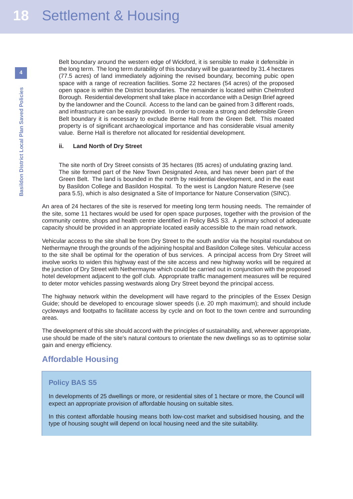Belt boundary around the western edge of Wickford, it is sensible to make it defensible in the long term. The long term durability of this boundary will be guaranteed by 31.4 hectares (77.5 acres) of land immediately adjoining the revised boundary, becoming pubic open space with a range of recreation facilities. Some 22 hectares (54 acres) of the proposed open space is within the District boundaries. The remainder is located within Chelmsford Borough. Residential development shall take place in accordance with a Design Brief agreed by the landowner and the Council. Access to the land can be gained from 3 different roads, and infrastructure can be easily provided. In order to create a strong and defensible Green Belt boundary it is necessary to exclude Berne Hall from the Green Belt. This moated property is of significant archaeological importance and has considerable visual amenity value. Berne Hall is therefore not allocated for residential development.

#### **ii. Land North of Dry Street**

The site north of Dry Street consists of 35 hectares (85 acres) of undulating grazing land. The site formed part of the New Town Designated Area, and has never been part of the Green Belt. The land is bounded in the north by residential development, and in the east by Basildon College and Basildon Hospital. To the west is Langdon Nature Reserve (see para 5.5), which is also designated a Site of Importance for Nature Conservation (SINC).

An area of 24 hectares of the site is reserved for meeting long term housing needs. The remainder of the site, some 11 hectares would be used for open space purposes, together with the provision of the community centre, shops and health centre identified in Policy BAS S3. A primary school of adequate capacity should be provided in an appropriate located easily accessible to the main road network.

Vehicular access to the site shall be from Dry Street to the south and/or via the hospital roundabout on Nethermayne through the grounds of the adjoining hospital and Basildon College sites. Vehicular access to the site shall be optimal for the operation of bus services. A principal access from Dry Street will involve works to widen this highway east of the site access and new highway works will be required at the junction of Dry Street with Nethermayne which could be carried out in conjunction with the proposed hotel development adjacent to the golf club. Appropriate traffic management measures will be required to deter motor vehicles passing westwards along Dry Street beyond the principal access.

The highway network within the development will have regard to the principles of the Essex Design Guide; should be developed to encourage slower speeds (i.e. 20 mph maximum); and should include cycleways and footpaths to facilitate access by cycle and on foot to the town centre and surrounding areas.

<span id="page-25-0"></span>The development of this site should accord with the principles of sustainability, and, wherever appropriate, use should be made of the site's natural contours to orientate the new dwellings so as to optimise solar gain and energy efficiency.

## **Affordable Housing**

#### **Policy BAS S5**

In developments of 25 dwellings or more, or residential sites of 1 hectare or more, the Council will expect an appropriate provision of affordable housing on suitable sites.

In this context affordable housing means both low-cost market and subsidised housing, and the type of housing sought will depend on local housing need and the site suitability.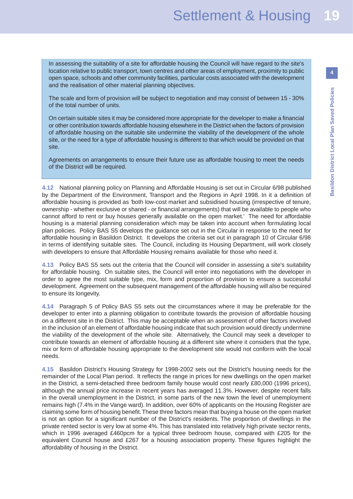In assessing the suitability of a site for affordable housing the Council will have regard to the site's location relative to public transport, town centres and other areas of employment, proximity to public open space, schools and other community facilities, particular costs associated with the development and the realisation of other material planning objectives.

The scale and form of provision will be subject to negotiation and may consist of between 15 - 30% of the total number of units.

On certain suitable sites it may be considered more appropriate for the developer to make a financial or other contribution towards affordable housing elsewhere in the District when the factors of provision of affordable housing on the suitable site undermine the viability of the development of the whole site, or the need for a type of affordable housing is different to that which would be provided on that site.

Agreements on arrangements to ensure their future use as affordable housing to meet the needs of the District will be required.

**4.12** National planning policy on Planning and Affordable Housing is set out in Circular 6/98 published by the Department of the Environment, Transport and the Regions in April 1998. In it a definition of affordable housing is provided as *'*both low-cost market and subsidised housing (irrespective of tenure, ownership - whether exclusive or shared - or financial arrangements) that will be available to people who cannot afford to rent or buy houses generally available on the open market.' The need for affordable housing is a material planning consideration which may be taken into account when formulating local plan policies. Policy BAS S5 develops the guidance set out in the Circular in response to the need for affordable housing in Basildon District. It develops the criteria set out in paragraph 10 of Circular 6/98 in terms of identifying suitable sites. The Council, including its Housing Department, will work closely with developers to ensure that Affordable Housing remains available for those who need it.

**4.13** Policy BAS S5 sets out the criteria that the Council will consider in assessing a site's suitability for affordable housing. On suitable sites, the Council will enter into negotiations with the developer in order to agree the most suitable type, mix, form and proportion of provision to ensure a successful development. Agreement on the subsequent management of the affordable housing will also be required to ensure its longevity.

**4.14** Paragraph 5 of Policy BAS S5 sets out the circumstances where it may be preferable for the developer to enter into a planning obligation to contribute towards the provision of affordable housing on a different site in the District. This may be acceptable when an assessment of other factors involved in the inclusion of an element of affordable housing indicate that such provision would directly undermine the viability of the development of the whole site. Alternatively, the Council may seek a developer to contribute towards an element of affordable housing at a different site where it considers that the type, mix or form of affordable housing appropriate to the development site would not conform with the local needs.

**4.15** Basildon District's Housing Strategy for 1998-2002 sets out the District's housing needs for the remainder of the Local Plan period. It reflects the range in prices for new dwellings on the open market in the District, a semi-detached three bedroom family house would cost nearly £80,000 (1996 prices), although the annual price increase in recent years has averaged 11.3%. However, despite recent falls in the overall unemployment in the District, in some parts of the new town the level of unemployment remains high (7.4% in the Vange ward). In addition, over 60% of applicants on the Housing Register are claiming some form of housing benefit. These three factors mean that buying a house on the open market is not an option for a significant number of the District's residents. The proportion of dwellings in the private rented sector is very low at some 4%.This has translated into relatively high private sector rents, which in 1996 averaged £460pcm for a typical three bedroom house, compared with £205 for the equivalent Council house and £267 for a housing association property. These figures highlight the affordability of housing in the District.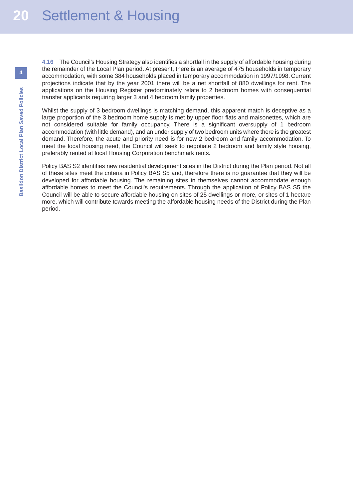**4.16** The Council's Housing Strategy also identifies a shortfall in the supply of affordable housing during the remainder of the Local Plan period. At present, there is an average of 475 households in temporary accommodation, with some 384 households placed in temporary accommodation in 1997/1998. Current projections indicate that by the year 2001 there will be a net shortfall of 880 dwellings for rent. The applications on the Housing Register predominately relate to 2 bedroom homes with consequential transfer applicants requiring larger 3 and 4 bedroom family properties.

Whilst the supply of 3 bedroom dwellings is matching demand, this apparent match is deceptive as a large proportion of the 3 bedroom home supply is met by upper floor flats and maisonettes, which are not considered suitable for family occupancy. There is a significant oversupply of 1 bedroom accommodation (with little demand), and an under supply of two bedroom units where there is the greatest demand. Therefore, the acute and priority need is for new 2 bedroom and family accommodation. To meet the local housing need, the Council will seek to negotiate 2 bedroom and family style housing, preferably rented at local Housing Corporation benchmark rents.

Policy BAS S2 identifies new residential development sites in the District during the Plan period. Not all of these sites meet the criteria in Policy BAS S5 and, therefore there is no guarantee that they will be developed for affordable housing. The remaining sites in themselves cannot accommodate enough affordable homes to meet the Council's requirements. Through the application of Policy BAS S5 the Council will be able to secure affordable housing on sites of 25 dwellings or more, or sites of 1 hectare more, which will contribute towards meeting the affordable housing needs of the District during the Plan period.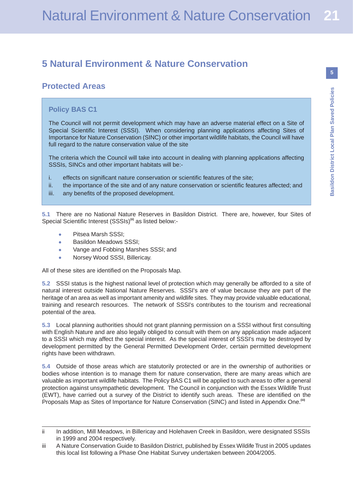# <span id="page-28-0"></span>**5 Natural Environment & Nature Conservation**

# <span id="page-28-1"></span>**Protected Areas**

### **Policy BAS C1**

The Council will not permit development which may have an adverse material effect on a Site of Special Scientific Interest (SSSI). When considering planning applications affecting Sites of Importance for Nature Conservation (SINC) or other important wildlife habitats, the Council will have full regard to the nature conservation value of the site

The criteria which the Council will take into account in dealing with planning applications affecting SSSIs, SINCs and other important habitats will be:-

- i. effects on significant nature conservation or scientific features of the site;
- ii. the importance of the site and of any nature conservation or scientific features affected; and
- iii. any benefits of the proposed development.

**5.1** There are no National Nature Reserves in Basildon District. There are, however, four Sites of Special Scientific Interest (SSSIs)**(ii)** as listed below:-

- Pitsea Marsh SSSI;  $\bullet$
- Basildon Meadows SSSI;  $\bullet$
- Vange and Fobbing Marshes SSSI; and  $\bullet$
- Norsey Wood SSSI, Billericay.  $\overline{a}$

All of these sites are identified on the Proposals Map.

**5.2** SSSI status is the highest national level of protection which may generally be afforded to a site of natural interest outside National Nature Reserves. SSSI's are of value because they are part of the heritage of an area as well as important amenity and wildlife sites. They may provide valuable educational, training and research resources. The network of SSSI's contributes to the tourism and recreational potential of the area.

**5.3** Local planning authorities should not grant planning permission on a SSSI without first consulting with English Nature and are also legally obliged to consult with them on any application made adjacent to a SSSI which may affect the special interest. As the special interest of SSSI's may be destroyed by development permitted by the General Permitted Development Order, certain permitted development rights have been withdrawn.

**5.4** Outside of those areas which are statutorily protected or are in the ownership of authorities or bodies whose intention is to manage them for nature conservation, there are many areas which are valuable as important wildlife habitats. The Policy BAS C1 will be applied to such areas to offer a general protection against unsympathetic development. The Council in conjunction with the Essex Wildlife Trust (EWT), have carried out a survey of the District to identify such areas. These are identified on the Proposals Map as Sites of Importance for Nature Conservation (SINC) and listed in Appendix One.<sup>(iii)</sup>

**Basildon District Local Plan Saved Policies Basildon District Local Plan Saved Policies**

ii In addition, Mill Meadows, in Billericay and Holehaven Creek in Basildon, were designated SSSIs in 1999 and 2004 respectively.

iii A Nature Conservation Guide to Basildon District, published by Essex Wildife Trust in 2005 updates this local list following a Phase One Habitat Survey undertaken between 2004/2005.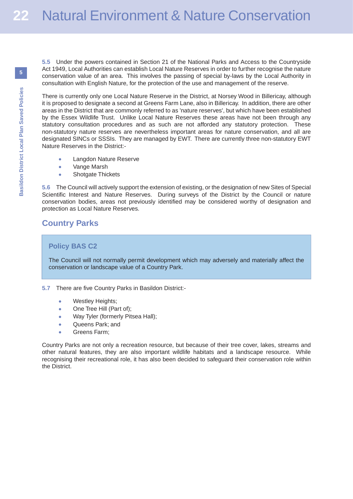**5.5** Under the powers contained in Section 21 of the National Parks and Access to the Countryside Act 1949, Local Authorities can establish Local Nature Reserves in order to further recognise the nature conservation value of an area. This involves the passing of special by-laws by the Local Authority in consultation with English Nature, for the protection of the use and management of the reserve.

There is currently only one Local Nature Reserve in the District, at Norsey Wood in Billericay, although it is proposed to designate a second at Greens Farm Lane, also in Billericay. In addition, there are other areas in the District that are commonly referred to as 'nature reserves', but which have been established by the Essex Wildlife Trust. Unlike Local Nature Reserves these areas have not been through any statutory consultation procedures and as such are not afforded any statutory protection. These non-statutory nature reserves are nevertheless important areas for nature conservation, and all are designated SINCs or SSSIs. They are managed by EWT. There are currently three non-statutory EWT Nature Reserves in the District:-

- $\bullet$ Langdon Nature Reserve
- $\bullet$ Vange Marsh
- Shotgate Thickets  $\ddot{\phantom{a}}$

<span id="page-29-0"></span>**5.6** The Council will actively support the extension of existing, or the designation of new Sites of Special Scientific Interest and Nature Reserves. During surveys of the District by the Council or nature conservation bodies, areas not previously identified may be considered worthy of designation and protection as Local Nature Reserves.

## **Country Parks**

#### **Policy BAS C2**

The Council will not normally permit development which may adversely and materially affect the conservation or landscape value of a Country Park.

**5.7** There are five Country Parks in Basildon District:-

- Westley Heights:
- One Tree Hill (Part of);  $\bullet$
- Way Tyler (formerly Pitsea Hall);  $\ddot{\phantom{0}}$
- Queens Park; and
- Greens Farm; ٠

Country Parks are not only a recreation resource, but because of their tree cover, lakes, streams and other natural features, they are also important wildlife habitats and a landscape resource. While recognising their recreational role, it has also been decided to safeguard their conservation role within the District.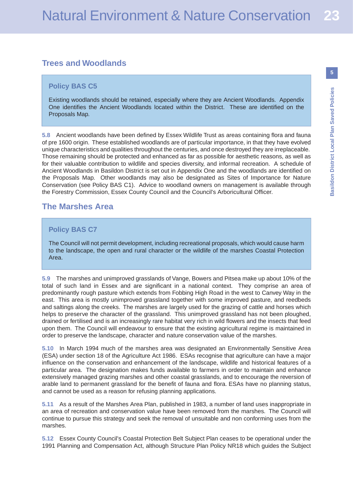## <span id="page-30-0"></span>**Trees and Woodlands**

#### **Policy BAS C5**

Existing woodlands should be retained, especially where they are Ancient Woodlands. Appendix One identifies the Ancient Woodlands located within the District. These are identified on the Proposals Map.

**5.8** Ancient woodlands have been defined by Essex Wildlife Trust as areas containing flora and fauna of pre 1600 origin. These established woodlands are of particular importance, in that they have evolved unique characteristics and qualities throughout the centuries, and once destroyed they are irreplaceable. Those remaining should be protected and enhanced as far as possible for aesthetic reasons, as well as for their valuable contribution to wildlife and species diversity, and informal recreation. A schedule of Ancient Woodlands in Basildon District is set out in Appendix One and the woodlands are identified on the Proposals Map. Other woodlands may also be designated as Sites of Importance for Nature Conservation (see Policy BAS C1). Advice to woodland owners on management is available through the Forestry Commission, Essex County Council and the Council's Arboricultural Officer.

## <span id="page-30-1"></span>**The Marshes Area**

#### **Policy BAS C7**

The Council will not permit development, including recreational proposals, which would cause harm to the landscape, the open and rural character or the wildlife of the marshes Coastal Protection Area.

**5.9** The marshes and unimproved grasslands of Vange, Bowers and Pitsea make up about 10% of the total of such land in Essex and are significant in a national context. They comprise an area of predominantly rough pasture which extends from Fobbing High Road in the west to Canvey Way in the east. This area is mostly unimproved grassland together with some improved pasture, and reedbeds and saltings along the creeks. The marshes are largely used for the grazing of cattle and horses which helps to preserve the character of the grassland. This unimproved grassland has not been ploughed, drained or fertilised and is an increasingly rare habitat very rich in wild flowers and the insects that feed upon them. The Council will endeavour to ensure that the existing agricultural regime is maintained in order to preserve the landscape, character and nature conservation value of the marshes.

**5.10** In March 1994 much of the marshes area was designated an Environmentally Sensitive Area (ESA) under section 18 of the Agriculture Act 1986. ESAs recognise that agriculture can have a major influence on the conservation and enhancement of the landscape, wildlife and historical features of a particular area. The designation makes funds available to farmers in order to maintain and enhance extensively managed grazing marshes and other coastal grasslands, and to encourage the reversion of arable land to permanent grassland for the benefit of fauna and flora. ESAs have no planning status, and cannot be used as a reason for refusing planning applications.

**5.11** As a result of the Marshes Area Plan, published in 1983, a number of land uses inappropriate in an area of recreation and conservation value have been removed from the marshes. The Council will continue to pursue this strategy and seek the removal of unsuitable and non conforming uses from the marshes.

**5.12** Essex County Council's Coastal Protection Belt Subject Plan ceases to be operational under the 1991 Planning and Compensation Act, although Structure Plan Policy NR18 which guides the Subject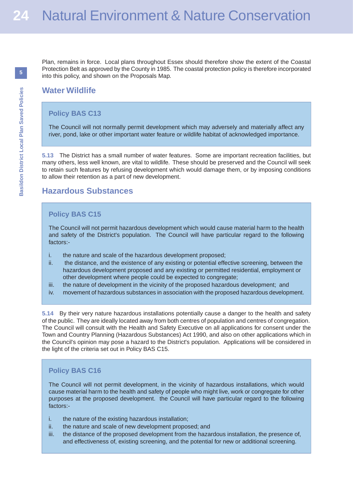Plan, remains in force. Local plans throughout Essex should therefore show the extent of the Coastal Protection Belt as approved by the County in 1985. The coastal protection policy is therefore incorporated into this policy, and shown on the Proposals Map.

### <span id="page-31-0"></span>**Water Wildlife**

#### **Policy BAS C13**

The Council will not normally permit development which may adversely and materially affect any river, pond, lake or other important water feature or wildlife habitat of acknowledged importance.

<span id="page-31-1"></span>**5.13** The District has a small number of water features. Some are important recreation facilities, but many others, less well known, are vital to wildlife. These should be preserved and the Council will seek to retain such features by refusing development which would damage them, or by imposing conditions to allow their retention as a part of new development.

### **Hazardous Substances**

#### **Policy BAS C15**

The Council will not permit hazardous development which would cause material harm to the health and safety of the District's population. The Council will have particular regard to the following factors:-

- i. the nature and scale of the hazardous development proposed;
- ii. the distance, and the existence of any existing or potential effective screening, between the hazardous development proposed and any existing or permitted residential, employment or other development where people could be expected to congregate;
- iii. the nature of development in the vicinity of the proposed hazardous development; and
- iv. movement of hazardous substances in association with the proposed hazardous development.

**5.14** By their very nature hazardous installations potentially cause a danger to the health and safety of the public. They are ideally located away from both centres of population and centres of congregation. The Council will consult with the Health and Safety Executive on all applications for consent under the Town and Country Planning (Hazardous Substances) Act 1990, and also on other applications which in the Council's opinion may pose a hazard to the District's population. Applications will be considered in the light of the criteria set out in Policy BAS C15.

## **Policy BAS C16**

The Council will not permit development, in the vicinity of hazardous installations, which would cause material harm to the health and safety of people who might live, work or congregate for other purposes at the proposed development. the Council will have particular regard to the following factors:-

- i. the nature of the existing hazardous installation;
- ii. the nature and scale of new development proposed; and
- iii. the distance of the proposed development from the hazardous installation, the presence of, and effectiveness of, existing screening, and the potential for new or additional screening.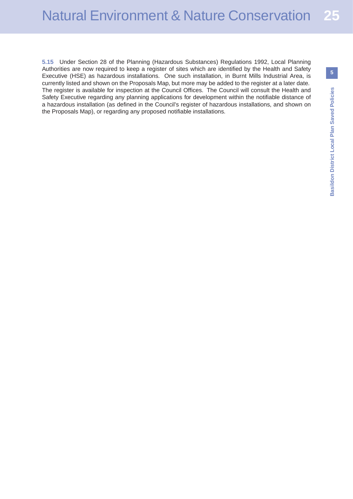**5.15** Under Section 28 of the Planning (Hazardous Substances) Regulations 1992, Local Planning Authorities are now required to keep a register of sites which are identified by the Health and Safety Executive (HSE) as hazardous installations. One such installation, in Burnt Mills Industrial Area, is currently listed and shown on the Proposals Map, but more may be added to the register at a later date. The register is available for inspection at the Council Offices. The Council will consult the Health and Safety Executive regarding any planning applications for development within the notifiable distance of a hazardous installation (as defined in the Council's register of hazardous installations, and shown on the Proposals Map), or regarding any proposed notifiable installations.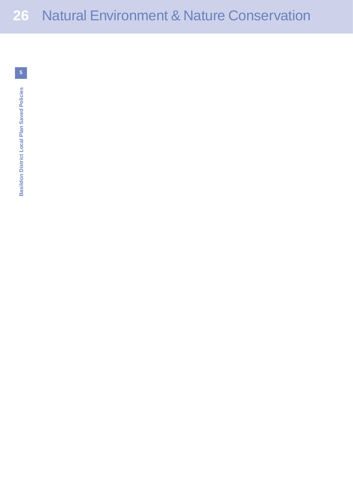# **26** Natural Environment & Nature Conservation

**5**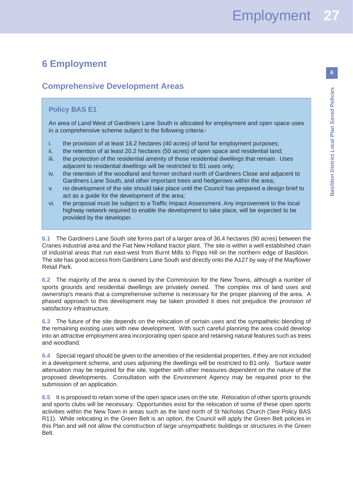# <span id="page-34-0"></span>**6 Employment**

# <span id="page-34-1"></span>**Comprehensive Development Areas**

## **Policy BAS E1**

An area of Land West of Gardiners Lane South is allocated for employment and open space uses in a comprehensive scheme subject to the following criteria:-

- i. the provision of at least 16.2 hectares (40 acres) of land for employment purposes;
- ii. the retention of at least 20.2 hectares (50 acres) of open space and residential land;
- iii. the protection of the residential amenity of those residential dwellings that remain. Uses adjacent to residential dwellings will be restricted to B1 uses only;
- iv. the retention of the woodland and former orchard north of Gardiners Close and adjacent to Gardiners Lane South, and other important trees and hedgerows within the area;
- v. no development of the site should take place until the Council has prepared a design brief to act as a guide for the development of the area;
- vi. the proposal must be subject to a Traffic Impact Assessment. Any improvement to the local highway network required to enable the development to take place, will be expected to be provided by the developer.

**6.1** The Gardiners Lane South site forms part of a larger area of 36.4 hectares (90 acres) between the Cranes industrial area and the Fiat New Holland tractor plant. The site is within a well established chain of industrial areas that run east-west from Burnt Mills to Pipps Hill on the northern edge of Basildon. The site has good access from Gardiners Lane South and directly onto the A127 by way of the Mayflower Retail Park.

**6.2** The majority of the area is owned by the Commission for the New Towns, although a number of sports grounds and residential dwellings are privately owned. The complex mix of land uses and ownership's means that a comprehensive scheme is necessary for the proper planning of the area. A phased approach to this development may be taken provided it does not prejudice the provision of satisfactory infrastructure.

**6.3** The future of the site depends on the relocation of certain uses and the sympathetic blending of the remaining existing uses with new development. With such careful planning the area could develop into an attractive employment area incorporating open space and retaining natural features such as trees and woodland.

**6.4** Special regard should be given to the amenities of the residential properties, if they are not included in a development scheme, and uses adjoining the dwellings will be restricted to B1 only. Surface water attenuation may be required for the site, together with other measures dependent on the nature of the proposed developments. Consultation with the Environment Agency may be required prior to the submission of an application.

**6.5** It is proposed to retain some of the open space uses on the site. Relocation of other sports grounds and sports clubs will be necessary. Opportunities exist for the relocation of some of these open sports activities within the New Town in areas such as the land north of St Nicholas Church (See Policy BAS R11). While relocating in the Green Belt is an option, the Council will apply the Green Belt policies in this Plan and will not allow the construction of large unsympathetic buildings or structures in the Green Belt.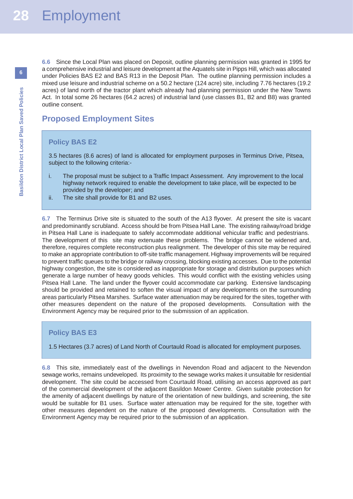**6.6** Since the Local Plan was placed on Deposit, outline planning permission was granted in 1995 for a comprehensive industrial and leisure development at the Aquatels site in Pipps Hill, which was allocated under Policies BAS E2 and BAS R13 in the Deposit Plan. The outline planning permission includes a mixed use leisure and industrial scheme on a 50.2 hectare (124 acre) site, including 7.76 hectares (19.2 acres) of land north of the tractor plant which already had planning permission under the New Towns Act. In total some 26 hectares (64.2 acres) of industrial land (use classes B1, B2 and B8) was granted outline consent.

## <span id="page-35-0"></span>**Proposed Employment Sites**

#### **Policy BAS E2**

3.5 hectares (8.6 acres) of land is allocated for employment purposes in Terminus Drive, Pitsea, subject to the following criteria:-

- i. The proposal must be subject to a Traffic Impact Assessment. Any improvement to the local highway network required to enable the development to take place, will be expected to be provided by the developer; and
- ii. The site shall provide for B1 and B2 uses.

**6.7** The Terminus Drive site is situated to the south of the A13 flyover. At present the site is vacant and predominantly scrubland. Access should be from Pitsea Hall Lane. The existing railway/road bridge in Pitsea Hall Lane is inadequate to safely accommodate additional vehicular traffic and pedestrians. The development of this site may extenuate these problems. The bridge cannot be widened and, therefore, requires complete reconstruction plus realignment. The developer of this site may be required to make an appropriate contribution to off-site traffic management. Highway improvements will be required to prevent traffic queues to the bridge or railway crossing, blocking existing accesses. Due to the potential highway congestion, the site is considered as inappropriate for storage and distribution purposes which generate a large number of heavy goods vehicles. This would conflict with the existing vehicles using Pitsea Hall Lane. The land under the flyover could accommodate car parking. Extensive landscaping should be provided and retained to soften the visual impact of any developments on the surrounding areas particularly Pitsea Marshes. Surface water attenuation may be required for the sites, together with other measures dependent on the nature of the proposed developments. Consultation with the Environment Agency may be required prior to the submission of an application.

#### **Policy BAS E3**

1.5 Hectares (3.7 acres) of Land North of Courtauld Road is allocated for employment purposes.

**6.8** This site, immediately east of the dwellings in Nevendon Road and adjacent to the Nevendon sewage works, remains undeveloped. Its proximity to the sewage works makes it unsuitable for residential development. The site could be accessed from Courtauld Road, utilising an access approved as part of the commercial development of the adjacent Basildon Mower Centre. Given suitable protection for the amenity of adjacent dwellings by nature of the orientation of new buildings, and screening, the site would be suitable for B1 uses. Surface water attenuation may be required for the site, together with other measures dependent on the nature of the proposed developments. Consultation with the Environment Agency may be required prior to the submission of an application.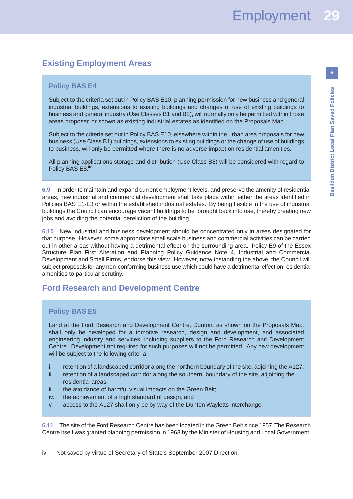## **Existing Employment Areas**

#### **Policy BAS E4**

Subject to the criteria set out in Policy BAS E10, planning permission for new business and general industrial buildings, extensions to existing buildings and changes of use of existing buildings to business and general industry (Use Classes B1 and B2), will normally only be permitted within those areas proposed or shown as existing industrial estates as identified on the Proposals Map.

Subject to the criteria set out in Policy BAS E10, elsewhere within the urban area proposals for new business (Use Class B1) buildings, extensions to existing buildings or the change of use of buildings to business, will only be permitted where there is no adverse impact on residential amenities.

All planning applications storage and distribution (Use Class B8) will be considered with regard to Policy BAS E8.**(iv)**

**6.9** In order to maintain and expand current employment levels, and preserve the amenity of residential areas, new industrial and commercial development shall take place within either the areas identified in Policies BAS E1-E3 or within the established industrial estates. By being flexible in the use of industrial buildings the Council can encourage vacant buildings to be brought back into use, thereby creating new jobs and avoiding the potential dereliction of the building.

**6.10** New industrial and business development should be concentrated only in areas designated for that purpose. However, some appropriate small scale business and commercial activities can be carried out in other areas without having a detrimental effect on the surrounding area. Policy E9 of the Essex Structure Plan First Alteration and Planning Policy Guidance Note 4, Industrial and Commercial Development and Small Firms, endorse this view. However, notwithstanding the above, the Council will subject proposals for any non-conforming business use which could have a detrimental effect on residential amenities to particular scrutiny.

## **Ford Research and Development Centre**

#### **Policy BAS E5**

Land at the Ford Research and Development Centre, Dunton, as shown on the Proposals Map, shall only be developed for automotive research, design and development, and associated engineering industry and services, including suppliers to the Ford Research and Development Centre. Development not required for such purposes will not be permitted. Any new development will be subject to the following criteria:-

- i. retention of a landscaped corridor along the northern boundary of the site, adjoining the A127;
- ii. retention of a landscaped corridor along the southern boundary of the site, adjoining the residential areas;
- iii. the avoidance of harmful visual impacts on the Green Belt;
- iv. the achievement of a high standard of design; and
- v. access to the A127 shall only be by way of the Dunton Wayletts interchange.

**6.11** The site of the Ford Research Centre has been located in the Green Belt since 1957.The Research Centre itself was granted planning permission in 1963 by the Minister of Housing and Local Government,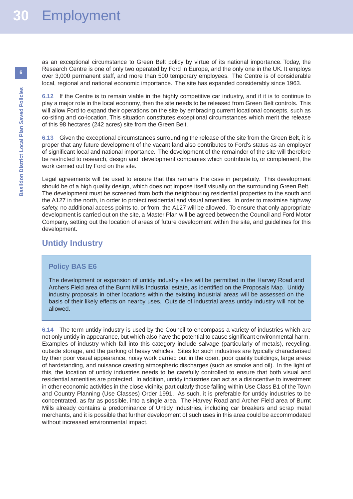as an exceptional circumstance to Green Belt policy by virtue of its national importance. Today, the Research Centre is one of only two operated by Ford in Europe, and the only one in the UK. It employs over 3,000 permanent staff, and more than 500 temporary employees. The Centre is of considerable local, regional and national economic importance. The site has expanded considerably since 1963.

**6.12** If the Centre is to remain viable in the highly competitive car industry, and if it is to continue to play a major role in the local economy, then the site needs to be released from Green Belt controls. This will allow Ford to expand their operations on the site by embracing current locational concepts, such as co-siting and co-location. This situation constitutes exceptional circumstances which merit the release of this 98 hectares (242 acres) site from the Green Belt.

**6.13** Given the exceptional circumstances surrounding the release of the site from the Green Belt, it is proper that any future development of the vacant land also contributes to Ford's status as an employer of significant local and national importance. The development of the remainder of the site will therefore be restricted to research, design and development companies which contribute to, or complement, the work carried out by Ford on the site.

Legal agreements will be used to ensure that this remains the case in perpetuity. This development should be of a high quality design, which does not impose itself visually on the surrounding Green Belt. The development must be screened from both the neighbouring residential properties to the south and the A127 in the north, in order to protect residential and visual amenities. In order to maximise highway safety, no additional access points to, or from, the A127 will be allowed. To ensure that only appropriate development is carried out on the site, a Master Plan will be agreed between the Council and Ford Motor Company, setting out the location of areas of future development within the site, and guidelines for this development.

## **Untidy Industry**

#### **Policy BAS E6**

The development or expansion of untidy industry sites will be permitted in the Harvey Road and Archers Field area of the Burnt Mills Industrial estate, as identified on the Proposals Map. Untidy industry proposals in other locations within the existing industrial areas will be assessed on the basis of their likely effects on nearby uses. Outside of industrial areas untidy industry will not be allowed.

**6.14** The term untidy industry is used by the Council to encompass a variety of industries which are not only untidy in appearance, but which also have the potential to cause significant environmental harm. Examples of industry which fall into this category include salvage (particularly of metals), recycling, outside storage, and the parking of heavy vehicles. Sites for such industries are typically characterised by their poor visual appearance, noisy work carried out in the open, poor quality buildings, large areas of hardstanding, and nuisance creating atmospheric discharges (such as smoke and oil). In the light of this, the location of untidy industries needs to be carefully controlled to ensure that both visual and residential amenities are protected. In addition, untidy industries can act as a disincentive to investment in other economic activities in the close vicinity, particularly those falling within Use Class B1 of the Town and Country Planning (Use Classes) Order 1991. As such, it is preferable for untidy industries to be concentrated, as far as possible, into a single area. The Harvey Road and Archer Field area of Burnt Mills already contains a predominance of Untidy Industries, including car breakers and scrap metal merchants, and it is possible that further development of such uses in this area could be accommodated without increased environmental impact.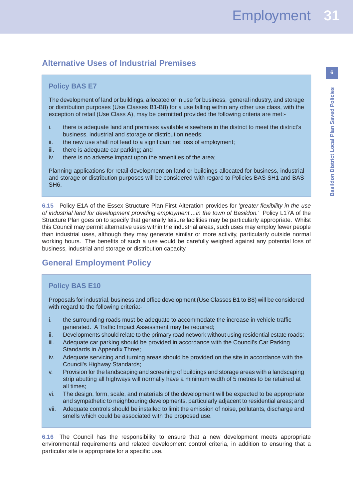## **Alternative Uses of Industrial Premises**

#### **Policy BAS E7**

The development of land or buildings, allocated or in use for business, general industry, and storage or distribution purposes (Use Classes B1-B8) for a use falling within any other use class, with the exception of retail (Use Class A), may be permitted provided the following criteria are met:-

- i. there is adequate land and premises available elsewhere in the district to meet the district's business, industrial and storage or distribution needs;
- ii. the new use shall not lead to a significant net loss of employment;
- iii. there is adequate car parking; and
- iv. there is no adverse impact upon the amenities of the area;

Planning applications for retail development on land or buildings allocated for business, industrial and storage or distribution purposes will be considered with regard to Policies BAS SH1 and BAS SH6.

**6.15** Policy E1A of the Essex Structure Plan First Alteration provides for *'greater flexibility in the use of industrial land for development providing employment....in the town of Basildon.'* Policy L17A of the Structure Plan goes on to specify that generally leisure facilities may be particularly appropriate. Whilst this Council may permit alternative uses within the industrial areas, such uses may employ fewer people than industrial uses, although they may generate similar or more activity, particularly outside normal working hours. The benefits of such a use would be carefully weighed against any potential loss of business, industrial and storage or distribution capacity.

## **General Employment Policy**

#### **Policy BAS E10**

Proposals for industrial, business and office development (Use Classes B1 to B8) will be considered with regard to the following criteria:-

- i. the surrounding roads must be adequate to accommodate the increase in vehicle traffic generated. A Traffic Impact Assessment may be required;
- ii. Developments should relate to the primary road network without using residential estate roads;
- iii. Adequate car parking should be provided in accordance with the Council's Car Parking Standards in Appendix Three;
- iv. Adequate servicing and turning areas should be provided on the site in accordance with the Council's Highway Standards;
- v. Provision for the landscaping and screening of buildings and storage areas with a landscaping strip abutting all highways will normally have a minimum width of 5 metres to be retained at all times;
- vi. The design, form, scale, and materials of the development will be expected to be appropriate and sympathetic to neighbouring developments, particularly adjacent to residential areas; and
- vii. Adequate controls should be installed to limit the emission of noise, pollutants, discharge and smells which could be associated with the proposed use.

**6.16** The Council has the responsibility to ensure that a new development meets appropriate environmental requirements and related development control criteria, in addition to ensuring that a particular site is appropriate for a specific use.

**Basildon District Local Plan Saved Policies Basildon District Local Plan Saved Policies**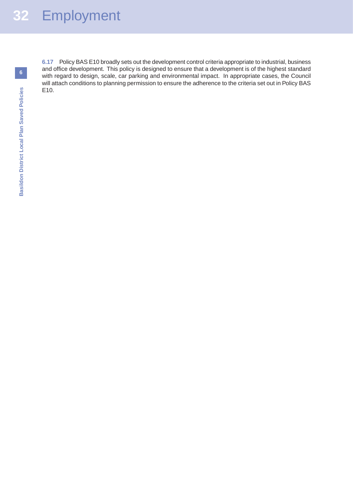**6.17** Policy BAS E10 broadly sets out the development control criteria appropriate to industrial, business and office development. This policy is designed to ensure that a development is of the highest standard with regard to design, scale, car parking and environmental impact. In appropriate cases, the Council will attach conditions to planning permission to ensure the adherence to the criteria set out in Policy BAS E10.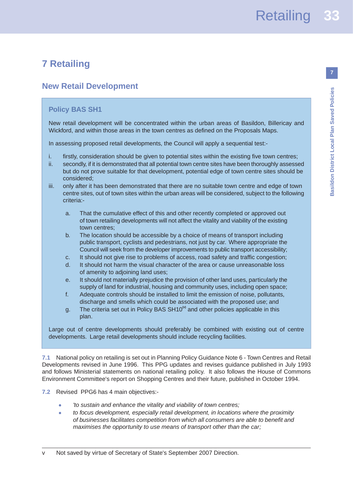## **7 Retailing**

## **New Retail Development**

#### **Policy BAS SH1**

New retail development will be concentrated within the urban areas of Basildon, Billericay and Wickford, and within those areas in the town centres as defined on the Proposals Maps.

In assessing proposed retail developments, the Council will apply a sequential test:-

- i. firstly, consideration should be given to potential sites within the existing five town centres;
- ii. secondly, if it is demonstrated that all potential town centre sites have been thoroughly assessed but do not prove suitable for that development, potential edge of town centre sites should be considered;
- iii. only after it has been demonstrated that there are no suitable town centre and edge of town centre sites, out of town sites within the urban areas will be considered, subject to the following criteria:
	- a. That the cumulative effect of this and other recently completed or approved out of town retailing developments will not affect the vitality and viability of the existing town centres;
	- b. The location should be accessible by a choice of means of transport including public transport, cyclists and pedestrians, not just by car. Where appropriate the Council will seek from the developer improvements to public transport accessibility;
	- c. It should not give rise to problems of access, road safety and traffic congestion;
	- d. It should not harm the visual character of the area or cause unreasonable loss of amenity to adjoining land uses;
	- e. It should not materially prejudice the provision of other land uses, particularly the supply of land for industrial, housing and community uses, including open space;
	- f. Adequate controls should be installed to limit the emission of noise, pollutants, discharge and smells which could be associated with the proposed use; and
	- g. The criteria set out in Policy BAS SH10**(v)** and other policies applicable in this plan.

Large out of centre developments should preferably be combined with existing out of centre developments. Large retail developments should include recycling facilities.

**7.1** National policy on retailing is set out in Planning Policy Guidance Note 6 - Town Centres and Retail Developments revised in June 1996. This PPG updates and revises guidance published in July 1993 and follows Ministerial statements on national retailing policy. It also follows the House of Commons Environment Committee's report on Shopping Centres and their future, published in October 1994.

- **7.2** Revised PPG6 has 4 main objectives:-
	- *'to sustain and enhance the vitality and viability of town centres;* ä
	- $\bullet$ *to focus development, especially retail development, in locations where the proximity of businesses facilitates competition from which all consumers are able to benefit and maximises the opportunity to use means of transport other than the car;*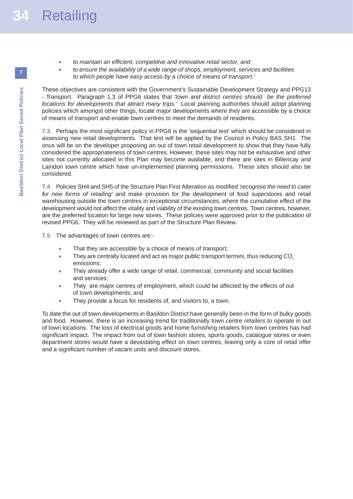- *to maintain an efficient, competitive and innovative retail sector; and*  $\bullet$
- *to ensure the availability of a wide range of shops, employment, services and facilities*  $\bullet$ *to which people have easy access by a choice of means of transport.'*

These objectives are consistent with the Government's Sustainable Development Strategy and PPG13 - Transport. Paragraph 1.3 of PPG6 states that *'town and district centres should be the preferred locations for developments that attract many trips.'* Local planning authorities should adopt planning policies which amongst other things, locate major developments where they are accessible by a choice of means of transport and enable town centres to meet the demands of residents.

**7.3** Perhaps the most significant policy in PPG6 is the 'sequential test' which should be considered in assessing new retail developments. That test will be applied by the Council in Policy BAS SH1. The onus will be on the developer proposing an out of town retail development to show that they have fully considered the appropriateness of town centres. However, these sites may not be exhaustive and other sites not currently allocated in this Plan may become available, and there are sites in Billericay and Laindon town centre which have un-implemented planning permissions. These sites should also be considered.

**7.4** Policies SH4 and SH5 of the Structure Plan First Alteration as modified *'recognise the need to cater for new forms of retailing'* and make provision for the development of food superstores and retail warehousing outside the town centres in exceptional circumstances, where the cumulative effect of the development would not affect the vitality and viability of the existing town centres. Town centres, however, are the preferred location for large new stores. These policies were approved prior to the publication of revised PPG6. They will be reviewed as part of the Structure Plan Review.

**7.5** The advantages of town centres are:-

- $\bullet$ That they are accessible by a choice of means of transport;
- They are centrally located and act as major public transport termini, thus reducing CO<sub>2</sub>  $\bullet$ emissions;
- They already offer a wide range of retail, commercial, community and social facilities and services;
- They are major centres of employment, which could be affected by the effects of out  $\bullet$ of town developments; and
- They provide a focus for residents of, and visitors to, a town.  $\bullet$

To date the out of town developments in Basildon District have generally been in the form of bulky goods and food. However, there is an increasing trend for traditionally town centre retailers to operate in out of town locations. The loss of electrical goods and home furnishing retailers from town centres has had significant impact. The impact from out of town fashion stores, sports goods, catalogue stores or even department stores would have a devastating effect on town centres, leaving only a core of retail offer and a significant number of vacant units and discount stores.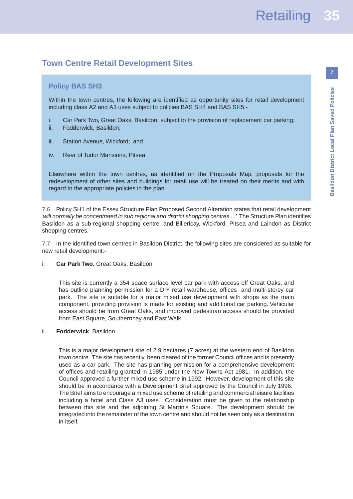## **Town Centre Retail Development Sites**

#### **Policy BAS SH3**

Within the town centres, the following are identified as opportunity sites for retail development including class A2 and A3 uses subject to policies BAS SH4 and BAS SH5:-

- i. Car Park Two, Great Oaks, Basildon, subject to the provision of replacement car parking;
- ii. Fodderwick, Basildon;
- iii. Station Avenue, Wickford; and
- iv. Rear of Tudor Mansions, Pitsea.

Elsewhere within the town centres, as identified on the Proposals Map, proposals for the redevelopment of other sites and buildings for retail use will be treated on their merits and with regard to the appropriate policies in the plan.

**7.6** Policy SH1 of the Essex Structure Plan Proposed Second Alteration states that retail development *'will normally be concentrated in sub regional and district shopping centres....'* The Structure Plan identifies Basildon as a sub-regional shopping centre, and Billericay, Wickford, Pitsea and Laindon as District shopping centres.

**7.7** In the identified town centres in Basildon District, the following sites are considered as suitable for new retail development:-

i. **Car Park Two**, Great Oaks, Basildon

This site is currently a 354 space surface level car park with access off Great Oaks, and has outline planning permission for a DIY retail warehouse, offices and multi-storey car park. The site is suitable for a major mixed use development with shops as the main component, providing provision is made for existing and additional car parking. Vehicular access should be from Great Oaks, and improved pedestrian access should be provided from East Square, Southernhay and East Walk.

#### ii. **Fodderwick**, Basildon

This is a major development site of 2.9 hectares (7 acres) at the western end of Basildon town centre. The site has recently been cleared of the former Council offices and is presently used as a car park. The site has planning permission for a comprehensive development of offices and retailing granted in 1985 under the New Towns Act 1981. In addition, the Council approved a further mixed use scheme in 1992. However, development of this site should be in accordance with a Development Brief approved by the Council in July 1996. The Brief aims to encourage a mixed use scheme of retailing and commercial leisure facilities including a hotel and Class A3 uses. Consideration must be given to the relationship between this site and the adjoining St Martin's Square. The development should be integrated into the remainder of the town centre and should not be seen only as a destination in itself.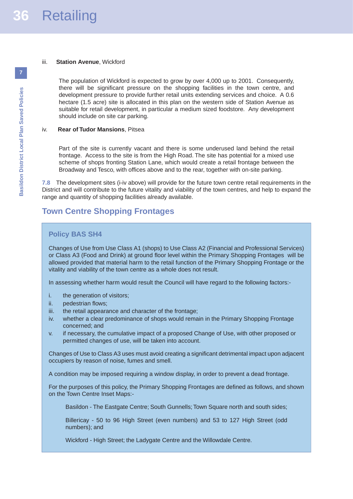#### iii. **Station Avenue**, Wickford

The population of Wickford is expected to grow by over 4,000 up to 2001. Consequently, there will be significant pressure on the shopping facilities in the town centre, and development pressure to provide further retail units extending services and choice. A 0.6 hectare (1.5 acre) site is allocated in this plan on the western side of Station Avenue as suitable for retail development, in particular a medium sized foodstore. Any development should include on site car parking.

#### iv. **Rear of Tudor Mansions**, Pitsea

Part of the site is currently vacant and there is some underused land behind the retail frontage. Access to the site is from the High Road. The site has potential for a mixed use scheme of shops fronting Station Lane, which would create a retail frontage between the Broadway and Tesco, with offices above and to the rear, together with on-site parking.

**7.8** The development sites (i-iv above) will provide for the future town centre retail requirements in the District and will contribute to the future vitality and viability of the town centres, and help to expand the range and quantity of shopping facilities already available.

#### **Town Centre Shopping Frontages**

#### **Policy BAS SH4**

Changes of Use from Use Class A1 (shops) to Use Class A2 (Financial and Professional Services) or Class A3 (Food and Drink) at ground floor level within the Primary Shopping Frontages will be allowed provided that material harm to the retail function of the Primary Shopping Frontage or the vitality and viability of the town centre as a whole does not result.

In assessing whether harm would result the Council will have regard to the following factors:-

- i. the generation of visitors;
- ii. pedestrian flows;
- iii. the retail appearance and character of the frontage;
- iv. whether a clear predominance of shops would remain in the Primary Shopping Frontage concerned; and
- v. if necessary, the cumulative impact of a proposed Change of Use, with other proposed or permitted changes of use, will be taken into account.

Changes of Use to Class A3 uses must avoid creating a significant detrimental impact upon adjacent occupiers by reason of noise, fumes and smell.

A condition may be imposed requiring a window display, in order to prevent a dead frontage.

For the purposes of this policy, the Primary Shopping Frontages are defined as follows, and shown on the Town Centre Inset Maps:-

Basildon - The Eastgate Centre; South Gunnells; Town Square north and south sides;

Billericay - 50 to 96 High Street (even numbers) and 53 to 127 High Street (odd numbers); and

Wickford - High Street; the Ladygate Centre and the Willowdale Centre.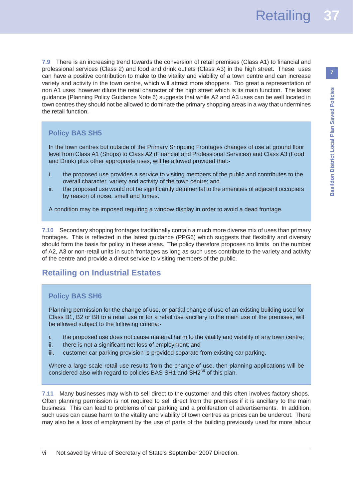**7.9** There is an increasing trend towards the conversion of retail premises (Class A1) to financial and professional services (Class 2) and food and drink outlets (Class A3) in the high street. These uses can have a positive contribution to make to the vitality and viability of a town centre and can increase variety and activity in the town centre, which will attract more shoppers. Too great a representation of non A1 uses however dilute the retail character of the high street which is its main function. The latest guidance (Planning Policy Guidance Note 6) suggests that while A2 and A3 uses can be well located in town centres they should not be allowed to dominate the primary shopping areas in a way that undermines the retail function.

#### **Policy BAS SH5**

In the town centres but outside of the Primary Shopping Frontages changes of use at ground floor level from Class A1 (Shops) to Class A2 (Financial and Professional Services) and Class A3 (Food and Drink) plus other appropriate uses, will be allowed provided that:-

- i. the proposed use provides a service to visiting members of the public and contributes to the overall character, variety and activity of the town centre; and
- ii. the proposed use would not be significantly detrimental to the amenities of adjacent occupiers by reason of noise, smell and fumes.

A condition may be imposed requiring a window display in order to avoid a dead frontage.

**7.10** Secondary shopping frontages traditionally contain a much more diverse mix of uses than primary frontages. This is reflected in the latest guidance (PPG6) which suggests that flexibility and diversity should form the basis for policy in these areas. The policy therefore proposes no limits on the number of A2, A3 or non-retail units in such frontages as long as such uses contribute to the variety and activity of the centre and provide a direct service to visiting members of the public.

## **Retailing on Industrial Estates**

#### **Policy BAS SH6**

Planning permission for the change of use, or partial change of use of an existing building used for Class B1, B2 or B8 to a retail use or for a retail use ancillary to the main use of the premises, will be allowed subject to the following criteria:-

- i. the proposed use does not cause material harm to the vitality and viability of any town centre;
- ii. there is not a significant net loss of employment; and
- iii. customer car parking provision is provided separate from existing car parking.

Where a large scale retail use results from the change of use, then planning applications will be considered also with regard to policies BAS SH1 and SH2**(vi)** of this plan.

**7.11** Many businesses may wish to sell direct to the customer and this often involves factory shops. Often planning permission is not required to sell direct from the premises if it is ancillary to the main business. This can lead to problems of car parking and a proliferation of advertisements. In addition, such uses can cause harm to the vitality and viability of town centres as prices can be undercut. There may also be a loss of employment by the use of parts of the building previously used for more labour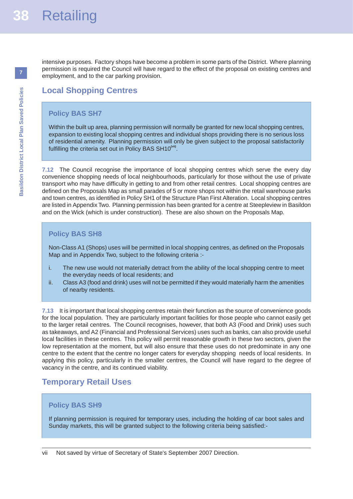intensive purposes. Factory shops have become a problem in some parts of the District. Where planning permission is required the Council will have regard to the effect of the proposal on existing centres and employment, and to the car parking provision.

## **Local Shopping Centres**

#### **Policy BAS SH7**

Within the built up area, planning permission will normally be granted for new local shopping centres, expansion to existing local shopping centres and individual shops providing there is no serious loss of residential amenity. Planning permission will only be given subject to the proposal satisfactorily fulfilling the criteria set out in Policy BAS SH10**(vii)** .

**7.12** The Council recognise the importance of local shopping centres which serve the every day convenience shopping needs of local neighbourhoods, particularly for those without the use of private transport who may have difficulty in getting to and from other retail centres. Local shopping centres are defined on the Proposals Map as small parades of 5 or more shops not within the retail warehouse parks and town centres, as identified in Policy SH1 of the Structure Plan First Alteration. Local shopping centres are listed in Appendix Two. Planning permission has been granted for a centre at Steepleview in Basildon and on the Wick (which is under construction). These are also shown on the Proposals Map.

#### **Policy BAS SH8**

Non-Class A1 (Shops) uses will be permitted in local shopping centres, as defined on the Proposals Map and in Appendix Two, subject to the following criteria :-

- i. The new use would not materially detract from the ability of the local shopping centre to meet the everyday needs of local residents; and
- ii. Class A3 (food and drink) uses will not be permitted if they would materially harm the amenities of nearby residents.

**7.13** It is important that local shopping centres retain their function as the source of convenience goods for the local population. They are particularly important facilities for those people who cannot easily get to the larger retail centres. The Council recognises, however, that both A3 (Food and Drink) uses such as takeaways, and A2 (Financial and Professional Services) uses such as banks, can also provide useful local facilities in these centres. This policy will permit reasonable growth in these two sectors, given the low representation at the moment, but will also ensure that these uses do not predominate in any one centre to the extent that the centre no longer caters for everyday shopping needs of local residents. In applying this policy, particularly in the smaller centres, the Council will have regard to the degree of vacancy in the centre, and its continued viability.

#### **Temporary Retail Uses**

#### **Policy BAS SH9**

If planning permission is required for temporary uses, including the holding of car boot sales and Sunday markets, this will be granted subject to the following criteria being satisfied:-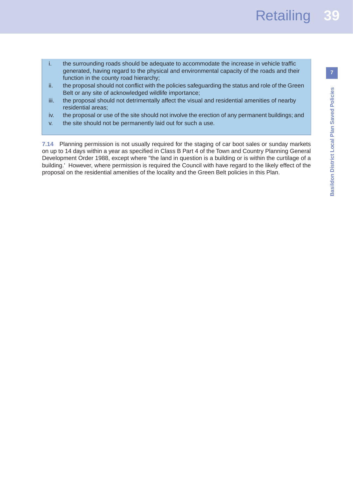- i. the surrounding roads should be adequate to accommodate the increase in vehicle traffic generated, having regard to the physical and environmental capacity of the roads and their function in the county road hierarchy;
- ii. the proposal should not conflict with the policies safeguarding the status and role of the Green Belt or any site of acknowledged wildlife importance;
- iii. the proposal should not detrimentally affect the visual and residential amenities of nearby residential areas;
- iv. the proposal or use of the site should not involve the erection of any permanent buildings; and
- v. the site should not be permanently laid out for such a use.

**7.14** Planning permission is not usually required for the staging of car boot sales or sunday markets on up to 14 days within a year as specified in Class B Part 4 of the Town and Country Planning General Development Order 1988, except where "the land in question is a building or is within the curtilage of a building.' However, where permission is required the Council with have regard to the likely effect of the proposal on the residential amenities of the locality and the Green Belt policies in this Plan.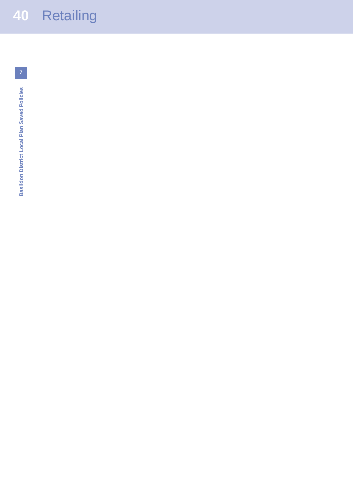# **40** Retailing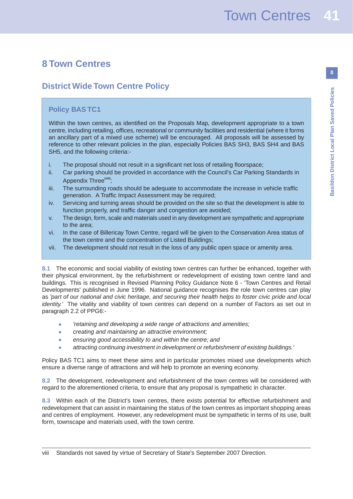## **8 Town Centres**

## **District Wide Town Centre Policy**

#### **Policy BAS TC1**

Within the town centres, as identified on the Proposals Map, development appropriate to a town centre, including retailing, offices, recreational or community facilities and residential (where it forms an ancillary part of a mixed use scheme) will be encouraged. All proposals will be assessed by reference to other relevant policies in the plan, especially Policies BAS SH3, BAS SH4 and BAS SH5, and the following criteria:-

- i. The proposal should not result in a significant net loss of retailing floorspace;
- ii. Car parking should be provided in accordance with the Council's Car Parking Standards in Appendix Three<sup>(viii)</sup>;
- iii. The surrounding roads should be adequate to accommodate the increase in vehicle traffic generation. A Traffic Impact Assessment may be required;
- iv. Servicing and turning areas should be provided on the site so that the development is able to function properly, and traffic danger and congestion are avoided;
- v. The design, form, scale and materials used in any development are sympathetic and appropriate to the area;
- vi. In the case of Billericay Town Centre, regard will be given to the Conservation Area status of the town centre and the concentration of Listed Buildings;
- vii. The development should not result in the loss of any public open space or amenity area.

**8.1** The economic and social viability of existing town centres can further be enhanced, together with their physical environment, by the refurbishment or redevelopment of existing town centre land and buildings. This is recognised in Revised Planning Policy Guidance Note 6 - 'Town Centres and Retail Developments' published in June 1996. National guidance recognises the role town centres can play as *'part of our national and civic heritage, and securing their health helps to foster civic pride and local identity.'* The vitality and viability of town centres can depend on a number of Factors as set out in paragraph 2.2 of PPG6:-

- *'retaining and developing a wide range of attractions and amenities;*
- *creating and maintaining an attractive environment;*  $\bullet$
- *ensuring good accessibility to and within the centre; and*  $\bullet$
- *attracting continuing investment in development or refurbishment of existing buildings.'*  $\overline{\phantom{a}}$

Policy BAS TC1 aims to meet these aims and in particular promotes mixed use developments which ensure a diverse range of attractions and will help to promote an evening economy.

**8.2** The development, redevelopment and refurbishment of the town centres will be considered with regard to the aforementioned criteria, to ensure that any proposal is sympathetic in character.

**8.3** Within each of the District's town centres, there exists potential for effective refurbishment and redevelopment that can assist in maintaining the status of the town centres as important shopping areas and centres of employment. However, any redevelopment must be sympathetic in terms of its use, built form, townscape and materials used, with the town centre.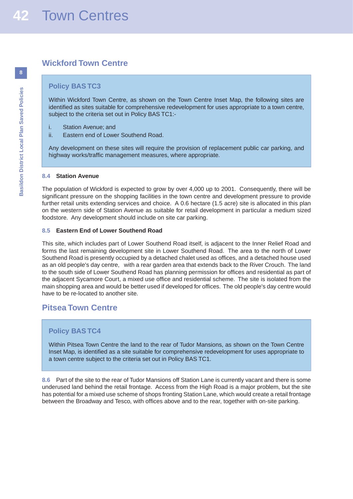#### **Wickford Town Centre**

#### **Policy BAS TC3**

Within Wickford Town Centre, as shown on the Town Centre Inset Map, the following sites are identified as sites suitable for comprehensive redevelopment for uses appropriate to a town centre, subject to the criteria set out in Policy BAS TC1:-

- i. Station Avenue; and
- ii. Eastern end of Lower Southend Road.

Any development on these sites will require the provision of replacement public car parking, and highway works/traffic management measures, where appropriate.

#### **8.4 Station Avenue**

The population of Wickford is expected to grow by over 4,000 up to 2001. Consequently, there will be significant pressure on the shopping facilities in the town centre and development pressure to provide further retail units extending services and choice. A 0.6 hectare (1.5 acre) site is allocated in this plan on the western side of Station Avenue as suitable for retail development in particular a medium sized foodstore. Any development should include on site car parking.

#### **8.5 Eastern End of Lower Southend Road**

This site, which includes part of Lower Southend Road itself, is adjacent to the Inner Relief Road and forms the last remaining development site in Lower Southend Road. The area to the north of Lower Southend Road is presently occupied by a detached chalet used as offices, and a detached house used as an old people's day centre, with a rear garden area that extends back to the River Crouch. The land to the south side of Lower Southend Road has planning permission for offices and residential as part of the adjacent Sycamore Court, a mixed use office and residential scheme. The site is isolated from the main shopping area and would be better used if developed for offices. The old people's day centre would have to be re-located to another site.

#### **Pitsea Town Centre**

#### **Policy BAS TC4**

Within Pitsea Town Centre the land to the rear of Tudor Mansions, as shown on the Town Centre Inset Map, is identified as a site suitable for comprehensive redevelopment for uses appropriate to a town centre subject to the criteria set out in Policy BAS TC1.

**8.6** Part of the site to the rear of Tudor Mansions off Station Lane is currently vacant and there is some underused land behind the retail frontage. Access from the High Road is a major problem, but the site has potential for a mixed use scheme of shops fronting Station Lane, which would create a retail frontage between the Broadway and Tesco, with offices above and to the rear, together with on-site parking.

**8**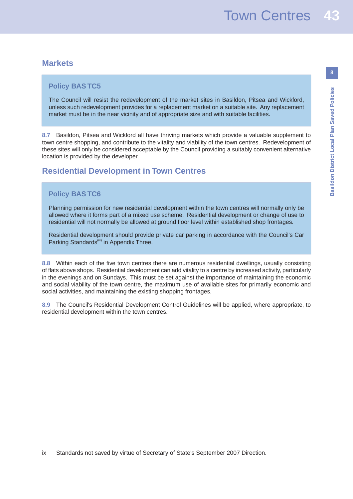#### **Markets**

#### **Policy BAS TC5**

The Council will resist the redevelopment of the market sites in Basildon, Pitsea and Wickford, unless such redevelopment provides for a replacement market on a suitable site. Any replacement market must be in the near vicinity and of appropriate size and with suitable facilities.

**8.7** Basildon, Pitsea and Wickford all have thriving markets which provide a valuable supplement to town centre shopping, and contribute to the vitality and viability of the town centres. Redevelopment of these sites will only be considered acceptable by the Council providing a suitably convenient alternative location is provided by the developer.

## **Residential Development in Town Centres**

#### **Policy BAS TC6**

Planning permission for new residential development within the town centres will normally only be allowed where it forms part of a mixed use scheme. Residential development or change of use to residential will not normally be allowed at ground floor level within established shop frontages.

Residential development should provide private car parking in accordance with the Council's Car Parking Standards**(ix)** in Appendix Three.

**8.8** Within each of the five town centres there are numerous residential dwellings, usually consisting of flats above shops. Residential development can add vitality to a centre by increased activity, particularly in the evenings and on Sundays. This must be set against the importance of maintaining the economic and social viability of the town centre, the maximum use of available sites for primarily economic and social activities, and maintaining the existing shopping frontages.

**8.9** The Council's Residential Development Control Guidelines will be applied, where appropriate, to residential development within the town centres.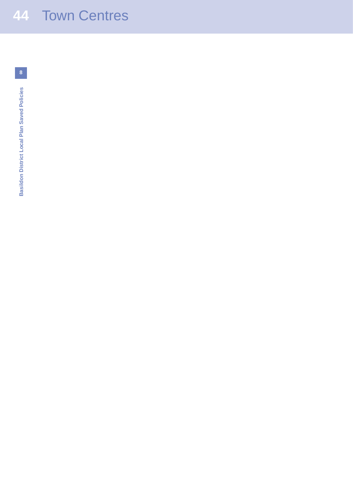## **44** Town Centres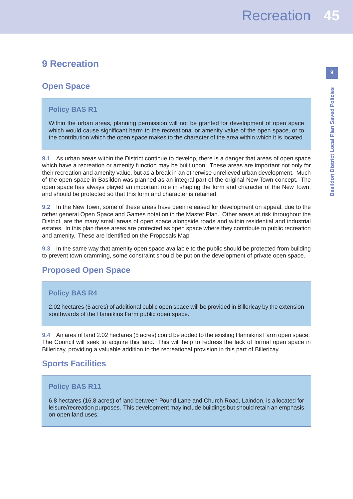## **9 Recreation**

## **Open Space**

#### **Policy BAS R1**

Within the urban areas, planning permission will not be granted for development of open space which would cause significant harm to the recreational or amenity value of the open space, or to the contribution which the open space makes to the character of the area within which it is located.

**9.1** As urban areas within the District continue to develop, there is a danger that areas of open space which have a recreation or amenity function may be built upon. These areas are important not only for their recreation and amenity value, but as a break in an otherwise unrelieved urban development. Much of the open space in Basildon was planned as an integral part of the original New Town concept. The open space has always played an important role in shaping the form and character of the New Town, and should be protected so that this form and character is retained.

**9.2** In the New Town, some of these areas have been released for development on appeal, due to the rather general Open Space and Games notation in the Master Plan. Other areas at risk throughout the District, are the many small areas of open space alongside roads and within residential and industrial estates. In this plan these areas are protected as open space where they contribute to public recreation and amenity. These are identified on the Proposals Map.

**9.3** In the same way that amenity open space available to the public should be protected from building to prevent town cramming, some constraint should be put on the development of private open space.

## **Proposed Open Space**

#### **Policy BAS R4**

2.02 hectares (5 acres) of additional public open space will be provided in Billericay by the extension southwards of the Hannikins Farm public open space.

**9.4** An area of land 2.02 hectares (5 acres) could be added to the existing Hannikins Farm open space. The Council will seek to acquire this land. This will help to redress the lack of formal open space in Billericay, providing a valuable addition to the recreational provision in this part of Billericay.

## **Sports Facilities**

#### **Policy BAS R11**

6.8 hectares (16.8 acres) of land between Pound Lane and Church Road, Laindon, is allocated for leisure/recreation purposes. This development may include buildings but should retain an emphasis on open land uses.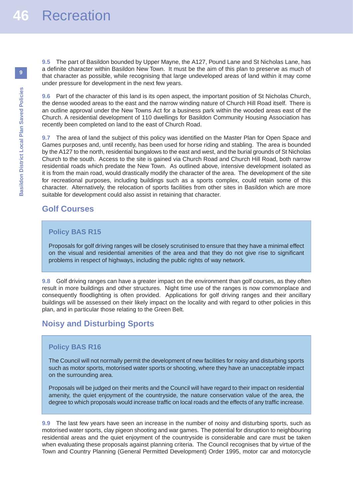**9.5** The part of Basildon bounded by Upper Mayne, the A127, Pound Lane and St Nicholas Lane, has a definite character within Basildon New Town. It must be the aim of this plan to preserve as much of that character as possible, while recognising that large undeveloped areas of land within it may come under pressure for development in the next few years.

**9.6** Part of the character of this land is its open aspect, the important position of St Nicholas Church, the dense wooded areas to the east and the narrow winding nature of Church Hill Road itself. There is an outline approval under the New Towns Act for a business park within the wooded areas east of the Church. A residential development of 110 dwellings for Basildon Community Housing Association has recently been completed on land to the east of Church Road.

**9.7** The area of land the subject of this policy was identified on the Master Plan for Open Space and Games purposes and, until recently, has been used for horse riding and stabling. The area is bounded by the A127 to the north, residential bungalows to the east and west, and the burial grounds of St Nicholas Church to the south. Access to the site is gained via Church Road and Church Hill Road, both narrow residential roads which predate the New Town. As outlined above, intensive development isolated as it is from the main road, would drastically modify the character of the area. The development of the site for recreational purposes, including buildings such as a sports complex, could retain some of this character. Alternatively, the relocation of sports facilities from other sites in Basildon which are more suitable for development could also assist in retaining that character.

#### **Golf Courses**

#### **Policy BAS R15**

Proposals for golf driving ranges will be closely scrutinised to ensure that they have a minimal effect on the visual and residential amenities of the area and that they do not give rise to significant problems in respect of highways, including the public rights of way network.

**9.8** Golf driving ranges can have a greater impact on the environment than golf courses, as they often result in more buildings and other structures. Night time use of the ranges is now commonplace and consequently floodlighting is often provided. Applications for golf driving ranges and their ancillary buildings will be assessed on their likely impact on the locality and with regard to other policies in this plan, and in particular those relating to the Green Belt.

## **Noisy and Disturbing Sports**

#### **Policy BAS R16**

The Council will not normally permit the development of new facilities for noisy and disturbing sports such as motor sports, motorised water sports or shooting, where they have an unacceptable impact on the surrounding area.

Proposals will be judged on their merits and the Council will have regard to their impact on residential amenity, the quiet enjoyment of the countryside, the nature conservation value of the area, the degree to which proposals would increase traffic on local roads and the effects of any traffic increase.

**9.9** The last few years have seen an increase in the number of noisy and disturbing sports, such as motorised water sports, clay pigeon shooting and war games. The potential for disruption to neighbouring residential areas and the quiet enjoyment of the countryside is considerable and care must be taken when evaluating these proposals against planning criteria. The Council recognises that by virtue of the Town and Country Planning (General Permitted Development) Order 1995, motor car and motorcycle

**9**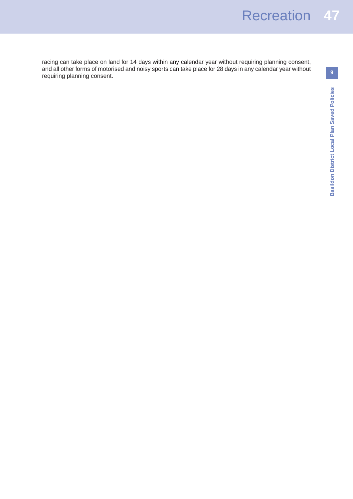racing can take place on land for 14 days within any calendar year without requiring planning consent, and all other forms of motorised and noisy sports can take place for 28 days in any calendar year without requiring planning consent.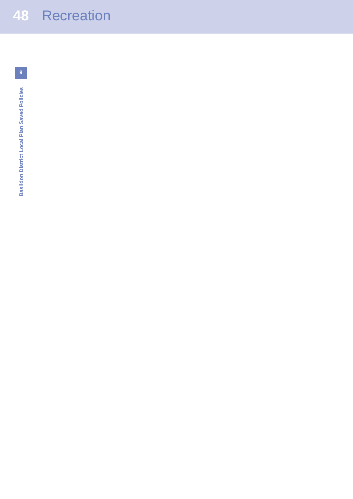# **48** Recreation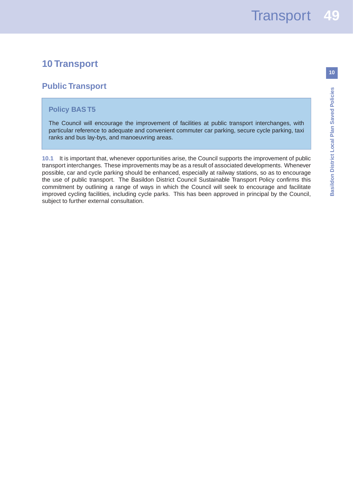## **10 Transport**

## **Public Transport**

#### **Policy BAS T5**

The Council will encourage the improvement of facilities at public transport interchanges, with particular reference to adequate and convenient commuter car parking, secure cycle parking, taxi ranks and bus lay-bys, and manoeuvring areas.

**10.1** It is important that, whenever opportunities arise, the Council supports the improvement of public transport interchanges. These improvements may be as a result of associated developments. Whenever possible, car and cycle parking should be enhanced, especially at railway stations, so as to encourage the use of public transport. The Basildon District Council Sustainable Transport Policy confirms this commitment by outlining a range of ways in which the Council will seek to encourage and facilitate improved cycling facilities, including cycle parks. This has been approved in principal by the Council, subject to further external consultation.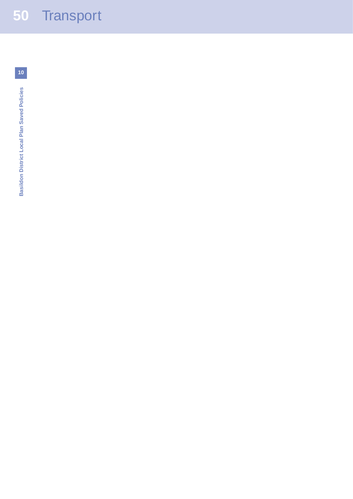# **50** Transport

**10**Basildon District Local Plan Saved Policies **Basildon District Local Plan Saved Policies**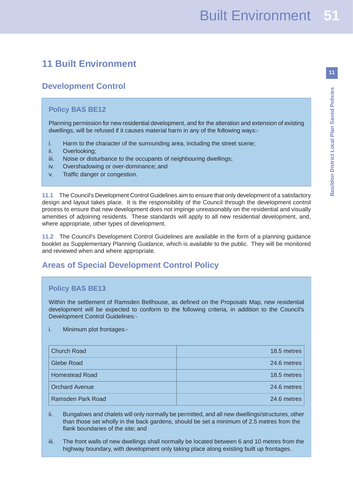## **11 Built Environment**

## **Development Control**

#### **Policy BAS BE12**

Planning permission for new residential development, and for the alteration and extension of existing dwellings, will be refused if it causes material harm in any of the following ways:-

- i. Harm to the character of the surrounding area, including the street scene;
- ii. Overlooking;
- iii. Noise or disturbance to the occupants of neighbouring dwellings;
- iv. Overshadowing or over-dominance; and
- v. Traffic danger or congestion.

**11.1** The Council's Development Control Guidelines aim to ensure that only development of a satisfactory design and layout takes place. It is the responsibility of the Council through the development control process to ensure that new development does not impinge unreasonably on the residential and visually amenities of adjoining residents. These standards will apply to all new residential development, and, where appropriate, other types of development.

**11.2** The Council's Development Control Guidelines are available in the form of a planning guidance booklet as Supplementary Planning Guidance, which is available to the public. They will be monitored and reviewed when and where appropriate.

## **Areas of Special Development Control Policy**

#### **Policy BAS BE13**

Within the settlement of Ramsden Bellhouse, as defined on the Proposals Map, new residential development will be expected to conform to the following criteria, in addition to the Council's Development Control Guidelines:-

i. Minimum plot frontages:-

| <b>Church Road</b>       | 18.5 metres |
|--------------------------|-------------|
| <b>Glebe Road</b>        | 24.6 metres |
| <b>Homestead Road</b>    | 18.5 metres |
| <b>Orchard Avenue</b>    | 24.6 metres |
| <b>Ramsden Park Road</b> | 24.6 metres |

ii. Bungalows and chalets will only normally be permitted, and all new dwellings/structures, other than those set wholly in the back gardens, should be set a minimum of 2.5 metres from the flank boundaries of the site; and

iii. The front walls of new dwellings shall normally be located between 6 and 10 metres from the highway boundary, with development only taking place along existing built up frontages.

Basildon District Local Plan Saved Policies **Basildon District Local Plan Saved Policies**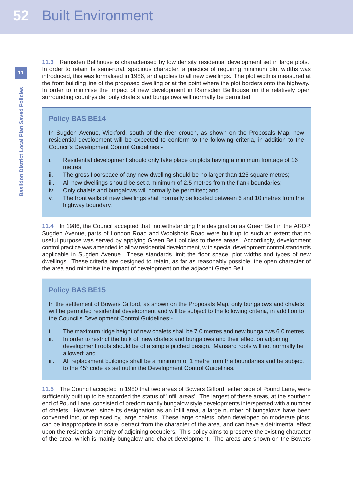**11.3** Ramsden Bellhouse is characterised by low density residential development set in large plots. In order to retain its semi-rural, spacious character, a practice of requiring minimum plot widths was introduced, this was formalised in 1986, and applies to all new dwellings. The plot width is measured at the front building line of the proposed dwelling or at the point where the plot borders onto the highway. In order to minimise the impact of new development in Ramsden Bellhouse on the relatively open surrounding countryside, only chalets and bungalows will normally be permitted.

#### **Policy BAS BE14**

In Sugden Avenue, Wickford, south of the river crouch, as shown on the Proposals Map, new residential development will be expected to conform to the following criteria, in addition to the Council's Development Control Guidelines:-

- i. Residential development should only take place on plots having a minimum frontage of 16 metres;
- ii. The gross floorspace of any new dwelling should be no larger than 125 square metres;
- iii. All new dwellings should be set a minimum of 2.5 metres from the flank boundaries;
- iv. Only chalets and bungalows will normally be permitted; and
- v. The front walls of new dwellings shall normally be located between 6 and 10 metres from the highway boundary.

**11.4** In 1986, the Council accepted that, notwithstanding the designation as Green Belt in the ARDP, Sugden Avenue, parts of London Road and Woolshots Road were built up to such an extent that no useful purpose was served by applying Green Belt policies to these areas. Accordingly, development control practice was amended to allow residential development, with special development control standards applicable in Sugden Avenue. These standards limit the floor space, plot widths and types of new dwellings. These criteria are designed to retain, as far as reasonably possible, the open character of the area and minimise the impact of development on the adjacent Green Belt.

#### **Policy BAS BE15**

In the settlement of Bowers Gifford, as shown on the Proposals Map, only bungalows and chalets will be permitted residential development and will be subject to the following criteria, in addition to the Council's Development Control Guidelines:-

- i. The maximum ridge height of new chalets shall be 7.0 metres and new bungalows 6.0 metres
- ii. In order to restrict the bulk of new chalets and bungalows and their effect on adjoining development roofs should be of a simple pitched design. Mansard roofs will not normally be allowed; and
- iii. All replacement buildings shall be a minimum of 1 metre from the boundaries and be subject to the 45° code as set out in the Development Control Guidelines.

**11.5** The Council accepted in 1980 that two areas of Bowers Gifford, either side of Pound Lane, were sufficiently built up to be accorded the status of 'infill areas'. The largest of these areas, at the southern end of Pound Lane, consisted of predominantly bungalow style developments interspersed with a number of chalets. However, since its designation as an infill area, a large number of bungalows have been converted into, or replaced by, large chalets. These large chalets, often developed on moderate plots, can be inappropriate in scale, detract from the character of the area, and can have a detrimental effect upon the residential amenity of adjoining occupiers. This policy aims to preserve the existing character of the area, which is mainly bungalow and chalet development. The areas are shown on the Bowers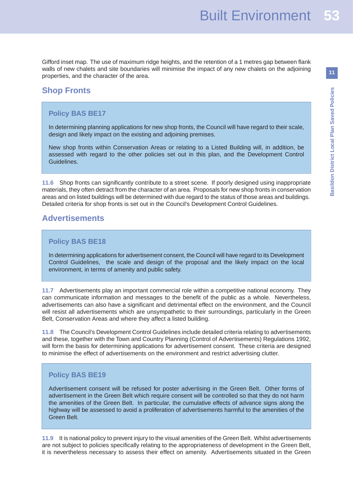Gifford inset map. The use of maximum ridge heights, and the retention of a 1 metres gap between flank walls of new chalets and site boundaries will minimise the impact of any new chalets on the adjoining properties, and the character of the area.

## **Shop Fronts**

#### **Policy BAS BE17**

In determining planning applications for new shop fronts, the Council will have regard to their scale, design and likely impact on the existing and adjoining premises.

New shop fronts within Conservation Areas or relating to a Listed Building will, in addition, be assessed with regard to the other policies set out in this plan, and the Development Control Guidelines.

**11.6** Shop fronts can significantly contribute to a street scene. If poorly designed using inappropriate materials, they often detract from the character of an area. Proposals for new shop fronts in conservation areas and on listed buildings will be determined with due regard to the status of those areas and buildings. Detailed criteria for shop fronts is set out in the Council's Development Control Guidelines.

### **Advertisements**

#### **Policy BAS BE18**

In determining applications for advertisement consent, the Council will have regard to its Development Control Guidelines, the scale and design of the proposal and the likely impact on the local environment, in terms of amenity and public safety.

**11.7** Advertisements play an important commercial role within a competitive national economy. They can communicate information and messages to the benefit of the public as a whole. Nevertheless, advertisements can also have a significant and detrimental effect on the environment, and the Council will resist all advertisements which are unsympathetic to their surroundings, particularly in the Green Belt, Conservation Areas and where they affect a listed building.

**11.8** The Council's Development Control Guidelines include detailed criteria relating to advertisements and these, together with the Town and Country Planning (Control of Advertisements) Regulations 1992, will form the basis for determining applications for advertisement consent. These criteria are designed to minimise the effect of advertisements on the environment and restrict advertising clutter.

#### **Policy BAS BE19**

Advertisement consent will be refused for poster advertising in the Green Belt. Other forms of advertisement in the Green Belt which require consent will be controlled so that they do not harm the amenities of the Green Belt. In particular, the cumulative effects of advance signs along the highway will be assessed to avoid a proliferation of advertisements harmful to the amenities of the Green Belt.

**11.9** It is national policy to prevent injury to the visual amenities of the Green Belt. Whilst advertisements are not subject to policies specifically relating to the appropriateness of development in the Green Belt, it is nevertheless necessary to assess their effect on amenity. Advertisements situated in the Green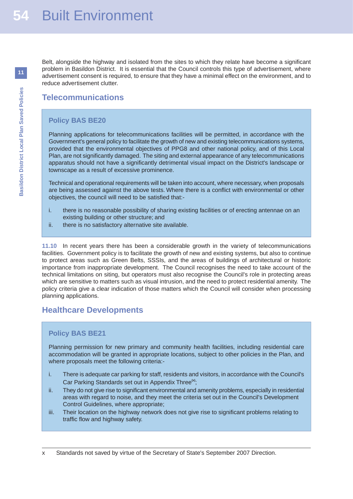Belt, alongside the highway and isolated from the sites to which they relate have become a significant problem in Basildon District. It is essential that the Council controls this type of advertisement, where advertisement consent is required, to ensure that they have a minimal effect on the environment, and to reduce advertisement clutter.

#### **Telecommunications**

#### **Policy BAS BE20**

Planning applications for telecommunications facilities will be permitted, in accordance with the Government's general policy to facilitate the growth of new and existing telecommunications systems, provided that the environmental objectives of PPG8 and other national policy, and of this Local Plan, are not significantly damaged. The siting and external appearance of any telecommunications apparatus should not have a significantly detrimental visual impact on the District's landscape or townscape as a result of excessive prominence.

Technical and operational requirements will be taken into account, where necessary, when proposals are being assessed against the above tests. Where there is a conflict with environmental or other objectives, the council will need to be satisfied that:-

- i. there is no reasonable possibility of sharing existing facilities or of erecting antennae on an existing building or other structure; and
- ii. there is no satisfactory alternative site available.

**11.10** In recent years there has been a considerable growth in the variety of telecommunications facilities. Government policy is to facilitate the growth of new and existing systems, but also to continue to protect areas such as Green Belts, SSSIs, and the areas of buildings of architectural or historic importance from inappropriate development. The Council recognises the need to take account of the technical limitations on siting, but operators must also recognise the Council's role in protecting areas which are sensitive to matters such as visual intrusion, and the need to protect residential amenity. The policy criteria give a clear indication of those matters which the Council will consider when processing planning applications.

#### **Healthcare Developments**

#### **Policy BAS BE21**

Planning permission for new primary and community health facilities, including residential care accommodation will be granted in appropriate locations, subject to other policies in the Plan, and where proposals meet the following criteria:-

- i. There is adequate car parking for staff, residents and visitors, in accordance with the Council's Car Parking Standards set out in Appendix Three<sup>(x)</sup>;
- ii. They do not give rise to significant environmental and amenity problems, especially in residential areas with regard to noise, and they meet the criteria set out in the Council's Development Control Guidelines, where appropriate;
- iii. Their location on the highway network does not give rise to significant problems relating to traffic flow and highway safety.

x Standards not saved by virtue of the Secretary of State's September 2007 Direction.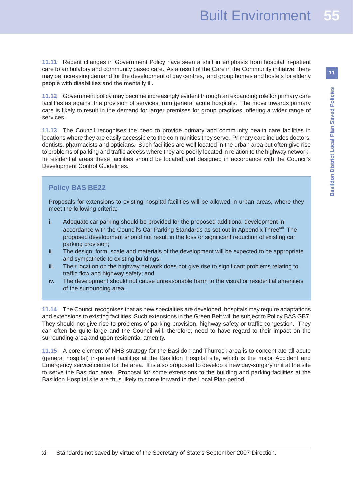**11.11** Recent changes in Government Policy have seen a shift in emphasis from hospital in-patient care to ambulatory and community based care. As a result of the Care in the Community initiative, there may be increasing demand for the development of day centres, and group homes and hostels for elderly people with disabilities and the mentally ill.

**11.12** Government policy may become increasingly evident through an expanding role for primary care facilities as against the provision of services from general acute hospitals. The move towards primary care is likely to result in the demand for larger premises for group practices, offering a wider range of services.

**11.13** The Council recognises the need to provide primary and community health care facilities in locations where they are easily accessible to the communities they serve. Primary care includes doctors, dentists, pharmacists and opticians. Such facilities are well located in the urban area but often give rise to problems of parking and traffic access where they are poorly located in relation to the highway network. In residential areas these facilities should be located and designed in accordance with the Council's Development Control Guidelines.

#### **Policy BAS BE22**

Proposals for extensions to existing hospital facilities will be allowed in urban areas, where they meet the following criteria:-

- i. Adequate car parking should be provided for the proposed additional development in accordance with the Council's Car Parking Standards as set out in Appendix Three<sup>(xi)</sup> The proposed development should not result in the loss or significant reduction of existing car parking provision;
- ii. The design, form, scale and materials of the development will be expected to be appropriate and sympathetic to existing buildings;
- iii. Their location on the highway network does not give rise to significant problems relating to traffic flow and highway safety; and
- iv. The development should not cause unreasonable harm to the visual or residential amenities of the surrounding area.

**11.14** The Council recognises that as new specialties are developed, hospitals may require adaptations and extensions to existing facilities. Such extensions in the Green Belt will be subject to Policy BAS GB7. They should not give rise to problems of parking provision, highway safety or traffic congestion. They can often be quite large and the Council will, therefore, need to have regard to their impact on the surrounding area and upon residential amenity.

**11.15** A core element of NHS strategy for the Basildon and Thurrock area is to concentrate all acute (general hospital) in-patient facilities at the Basildon Hospital site, which is the major Accident and Emergency service centre for the area. It is also proposed to develop a new day-surgery unit at the site to serve the Basildon area. Proposal for some extensions to the building and parking facilities at the Basildon Hospital site are thus likely to come forward in the Local Plan period.

**11**

**Basildon District Local Plan Saved Policies Basildon District Local Plan Saved Policies**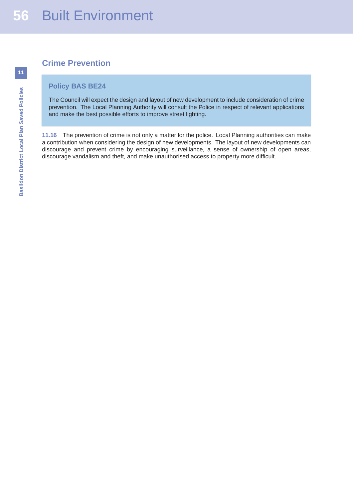#### **Crime Prevention**

#### **Policy BAS BE24**

The Council will expect the design and layout of new development to include consideration of crime prevention. The Local Planning Authority will consult the Police in respect of relevant applications and make the best possible efforts to improve street lighting.

**11.16** The prevention of crime is not only a matter for the police. Local Planning authorities can make a contribution when considering the design of new developments. The layout of new developments can discourage and prevent crime by encouraging surveillance, a sense of ownership of open areas, discourage vandalism and theft, and make unauthorised access to property more difficult.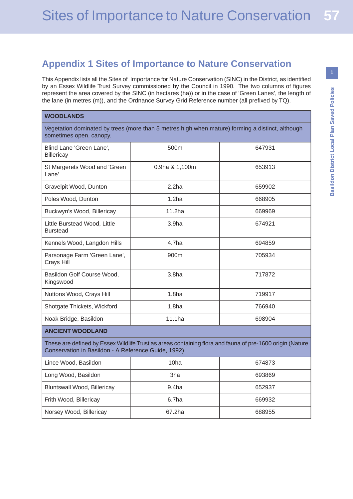## **Appendix 1 Sites of Importance to Nature Conservation**

This Appendix lists all the Sites of Importance for Nature Conservation (SINC) in the District, as identified by an Essex Wildlife Trust Survey commissioned by the Council in 1990. The two columns of figures represent the area covered by the SINC (in hectares (ha)) or in the case of 'Green Lanes', the length of the lane (in metres (m)), and the Ordnance Survey Grid Reference number (all prefixed by TQ).

#### **WOODLANDS**

Vegetation dominated by trees (more than 5 metres high when mature) forming a distinct, although sometimes open, canopy.

| Blind Lane 'Green Lane',<br><b>Billericay</b>                                                                                                                   | 500 <sub>m</sub>   | 647931 |
|-----------------------------------------------------------------------------------------------------------------------------------------------------------------|--------------------|--------|
| St Margerets Wood and 'Green<br>Lane'                                                                                                                           | 0.9ha & 1,100m     | 653913 |
| Gravelpit Wood, Dunton                                                                                                                                          | 2.2 <sub>ha</sub>  | 659902 |
| Poles Wood, Dunton                                                                                                                                              | 1.2 <sub>ha</sub>  | 668905 |
| Buckwyn's Wood, Billericay                                                                                                                                      | 11.2 <sub>ha</sub> | 669969 |
| Little Burstead Wood, Little<br><b>Burstead</b>                                                                                                                 | 3.9 <sub>ha</sub>  | 674921 |
| Kennels Wood, Langdon Hills                                                                                                                                     | 4.7ha              | 694859 |
| Parsonage Farm 'Green Lane',<br>Crays Hill                                                                                                                      | 900m               | 705934 |
| Basildon Golf Course Wood,<br>Kingswood                                                                                                                         | 3.8 <sub>ha</sub>  | 717872 |
| Nuttons Wood, Crays Hill                                                                                                                                        | 1.8 <sub>ha</sub>  | 719917 |
| Shotgate Thickets, Wickford                                                                                                                                     | 1.8 <sub>ha</sub>  | 766940 |
| Noak Bridge, Basildon                                                                                                                                           | 11.1 <sub>ha</sub> | 698904 |
| <b>ANCIENT WOODLAND</b>                                                                                                                                         |                    |        |
| These are defined by Essex Wildlife Trust as areas containing flora and fauna of pre-1600 origin (Nature<br>Conservation in Basildon - A Reference Guide, 1992) |                    |        |
| Lince Wood, Basildon                                                                                                                                            | 10 <sub>ha</sub>   | 674873 |

| Lince Wood, Basildon               | 10ha              | 674873 |
|------------------------------------|-------------------|--------|
| Long Wood, Basildon                | 3ha               | 693869 |
| <b>Bluntswall Wood, Billericay</b> | 9.4ha             | 652937 |
| Frith Wood, Billericay             | 6.7 <sub>ha</sub> | 669932 |
| Norsey Wood, Billericay            | 67.2ha            | 688955 |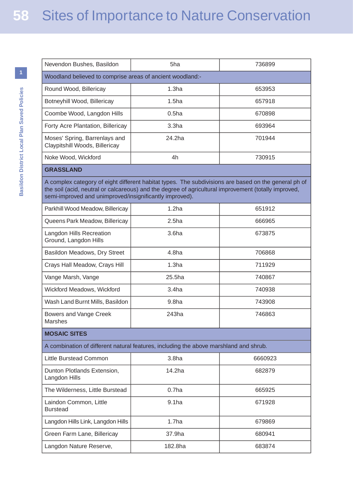| Nevendon Bushes, Basildon                                       | 5ha                                                       | 736899 |  |
|-----------------------------------------------------------------|-----------------------------------------------------------|--------|--|
|                                                                 | Woodland believed to comprise areas of ancient woodland:- |        |  |
| Round Wood, Billericay                                          | 1.3 <sub>ha</sub>                                         | 653953 |  |
| Botneyhill Wood, Billericay                                     | 1.5 <sub>ha</sub>                                         | 657918 |  |
| Coombe Wood, Langdon Hills                                      | 0.5 <sub>ha</sub>                                         | 670898 |  |
| Forty Acre Plantation, Billericay                               | 3.3 <sub>ha</sub>                                         | 693964 |  |
| Moses' Spring, Barrenlays and<br>Claypitshill Woods, Billericay | 24.2ha                                                    | 701944 |  |
| Noke Wood, Wickford                                             | 4h                                                        | 730915 |  |

#### **GRASSLAND**

A complex category of eight different habitat types. The subdivisions are based on the general ph of the soil (acid, neutral or calcareous) and the degree of agricultural improvement (totally improved, semi-improved and unimproved/insignificantly improved).

| Parkhill Wood Meadow, Billericay                  | 1.2 <sub>ha</sub>  | 651912 |
|---------------------------------------------------|--------------------|--------|
| Queens Park Meadow, Billericay                    | 2.5 <sub>ha</sub>  | 666965 |
| Langdon Hills Recreation<br>Ground, Langdon Hills | 3.6 <sub>ha</sub>  | 673875 |
| Basildon Meadows, Dry Street                      | 4.8ha              | 706868 |
| Crays Hall Meadow, Crays Hill                     | 1.3 <sub>ha</sub>  | 711929 |
| Vange Marsh, Vange                                | 25.5 <sub>ha</sub> | 740867 |
| Wickford Meadows, Wickford                        | 3.4 <sub>ha</sub>  | 740938 |
| Wash Land Burnt Mills, Basildon                   | 9.8 <sub>ha</sub>  | 743908 |
| Bowers and Vange Creek<br>Marshes                 | 243 <sub>ha</sub>  | 746863 |

#### **MOSAIC SITES**

A combination of different natural features, including the above marshland and shrub.

| Little Burstead Common                       | 3.8 <sub>ha</sub> | 6660923 |
|----------------------------------------------|-------------------|---------|
| Dunton Plotlands Extension.<br>Langdon Hills | 14.2ha            | 682879  |
| The Wilderness, Little Burstead              | 0.7 <sub>ha</sub> | 665925  |
| Laindon Common, Little<br><b>Burstead</b>    | 9.1 <sub>ha</sub> | 671928  |
| Langdon Hills Link, Langdon Hills            | 1.7 <sub>ha</sub> | 679869  |
| Green Farm Lane, Billericay                  | 37.9ha            | 680941  |
| Langdon Nature Reserve,                      | 182.8ha           | 683874  |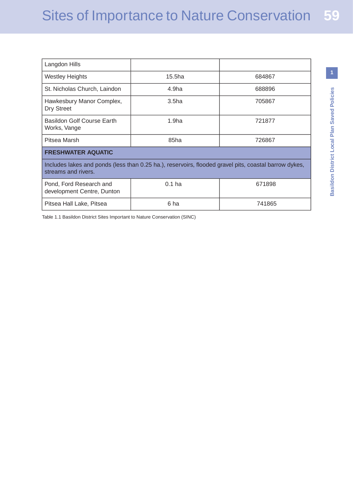| Langdon Hills                                                                                                                |                    |        |
|------------------------------------------------------------------------------------------------------------------------------|--------------------|--------|
| <b>Westley Heights</b>                                                                                                       | 15.5 <sub>ha</sub> | 684867 |
| St. Nicholas Church, Laindon                                                                                                 | 4.9 <sub>ha</sub>  | 688896 |
| Hawkesbury Manor Complex,<br>Dry Street                                                                                      | 3.5 <sub>ha</sub>  | 705867 |
| Basildon Golf Course Earth<br>Works, Vange                                                                                   | 1.9 <sub>ha</sub>  | 721877 |
| Pitsea Marsh                                                                                                                 | 85ha               | 726867 |
| <b>FRESHWATER AQUATIC</b>                                                                                                    |                    |        |
| Includes lakes and ponds (less than 0.25 ha.), reservoirs, flooded gravel pits, coastal barrow dykes,<br>streams and rivers. |                    |        |
| Pond, Ford Research and<br>development Centre, Dunton                                                                        | $0.1$ ha           | 671898 |
| Pitsea Hall Lake, Pitsea                                                                                                     | 6 ha               | 741865 |

Table 1.1 Basildon District Sites Important to Nature Conservation (SINC)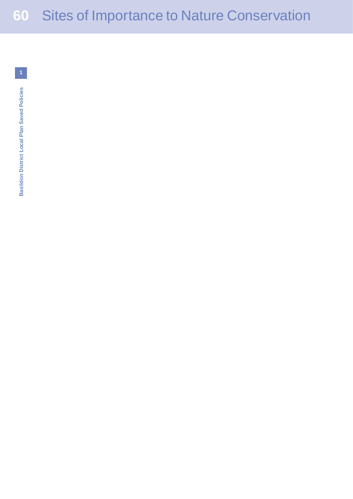## **60** Sites of Importance to Nature Conservation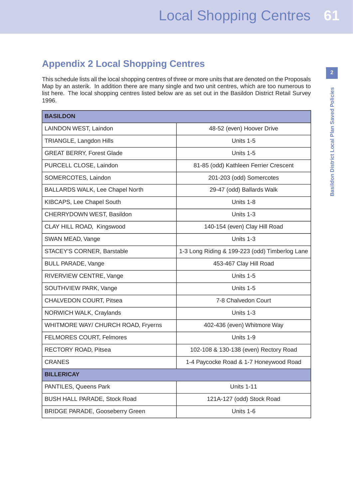## **Appendix 2 Local Shopping Centres**

This schedule lists all the local shopping centres of three or more units that are denoted on the Proposals Map by an asterik. In addition there are many single and two unit centres, which are too numerous to list here. The local shopping centres listed below are as set out in the Basildon District Retail Survey 1996.

| <b>BASILDON</b>                        |                                                |  |
|----------------------------------------|------------------------------------------------|--|
| LAINDON WEST, Laindon                  | 48-52 (even) Hoover Drive                      |  |
| TRIANGLE, Langdon Hills                | Units 1-5                                      |  |
| <b>GREAT BERRY, Forest Glade</b>       | Units 1-5                                      |  |
| PURCELL CLOSE, Laindon                 | 81-85 (odd) Kathleen Ferrier Crescent          |  |
| SOMERCOTES, Laindon                    | 201-203 (odd) Somercotes                       |  |
| <b>BALLARDS WALK, Lee Chapel North</b> | 29-47 (odd) Ballards Walk                      |  |
| KIBCAPS, Lee Chapel South              | Units 1-8                                      |  |
| CHERRYDOWN WEST, Basildon              | Units 1-3                                      |  |
| CLAY HILL ROAD, Kingswood              | 140-154 (even) Clay Hill Road                  |  |
| SWAN MEAD, Vange                       | Units 1-3                                      |  |
| STACEY'S CORNER, Barstable             | 1-3 Long Riding & 199-223 (odd) Timberlog Lane |  |
| <b>BULL PARADE, Vange</b>              | 453-467 Clay Hill Road                         |  |
| RIVERVIEW CENTRE, Vange                | Units 1-5                                      |  |
| SOUTHVIEW PARK, Vange                  | Units 1-5                                      |  |
| CHALVEDON COURT, Pitsea                | 7-8 Chalvedon Court                            |  |
| NORWICH WALK, Craylands                | Units 1-3                                      |  |
| WHITMORE WAY/ CHURCH ROAD, Fryerns     | 402-436 (even) Whitmore Way                    |  |
| FELMORES COURT, Felmores               | Units 1-9                                      |  |
| RECTORY ROAD, Pitsea                   | 102-108 & 130-138 (even) Rectory Road          |  |
| <b>CRANES</b>                          | 1-4 Paycocke Road & 1-7 Honeywood Road         |  |
| <b>BILLERICAY</b>                      |                                                |  |
| PANTILES, Queens Park                  | <b>Units 1-11</b>                              |  |
| <b>BUSH HALL PARADE, Stock Road</b>    | 121A-127 (odd) Stock Road                      |  |
| <b>BRIDGE PARADE, Gooseberry Green</b> | Units 1-6                                      |  |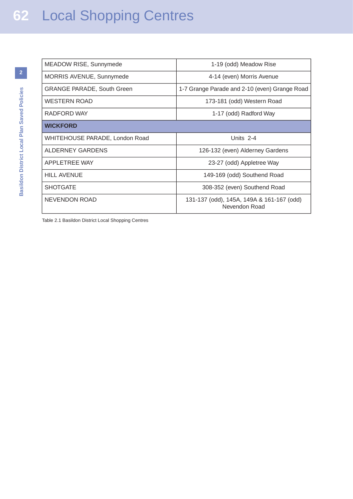# **62** Local Shopping Centres

| MEADOW RISE, Sunnymede            | 1-19 (odd) Meadow Rise                                     |
|-----------------------------------|------------------------------------------------------------|
| MORRIS AVENUE, Sunnymede          | 4-14 (even) Morris Avenue                                  |
| <b>GRANGE PARADE, South Green</b> | 1-7 Grange Parade and 2-10 (even) Grange Road              |
| <b>WESTERN ROAD</b>               | 173-181 (odd) Western Road                                 |
| RADFORD WAY                       | 1-17 (odd) Radford Way                                     |
| <b>WICKFORD</b>                   |                                                            |
| WHITEHOUSE PARADE, London Road    | Units 2-4                                                  |
| ALDERNEY GARDENS                  | 126-132 (even) Alderney Gardens                            |
| APPLETREE WAY                     | 23-27 (odd) Appletree Way                                  |
| <b>HILL AVENUE</b>                | 149-169 (odd) Southend Road                                |
| <b>SHOTGATE</b>                   | 308-352 (even) Southend Road                               |
| <b>NEVENDON ROAD</b>              | 131-137 (odd), 145A, 149A & 161-167 (odd)<br>Nevendon Road |

Table 2.1 Basildon District Local Shopping Centres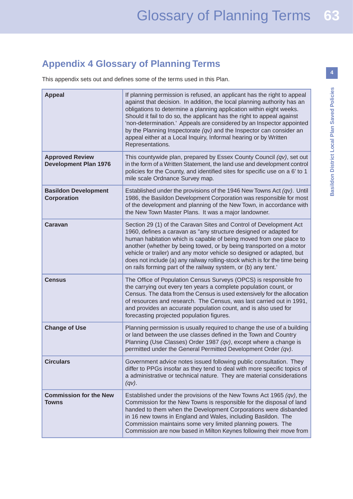## **Appendix 4 Glossary of Planning Terms**

This appendix sets out and defines some of the terms used in this Plan.

| <b>Appeal</b>                                          | If planning permission is refused, an applicant has the right to appeal<br>against that decision. In addition, the local planning authority has an<br>obligations to determine a planning application within eight weeks.<br>Should it fail to do so, the applicant has the right to appeal against<br>'non-determination.' Appeals are considered by an Inspector appointed<br>by the Planning Inspectorate $(qv)$ and the Inspector can consider an<br>appeal either at a Local Inquiry, Informal hearing or by Written<br>Representations. |
|--------------------------------------------------------|-----------------------------------------------------------------------------------------------------------------------------------------------------------------------------------------------------------------------------------------------------------------------------------------------------------------------------------------------------------------------------------------------------------------------------------------------------------------------------------------------------------------------------------------------|
| <b>Approved Review</b><br><b>Development Plan 1976</b> | This countywide plan, prepared by Essex County Council $(qv)$ , set out<br>in the form of a Written Statement, the land use and development control<br>policies for the County, and identified sites for specific use on a 6' to 1<br>mile scale Ordnance Survey map.                                                                                                                                                                                                                                                                         |
| <b>Basildon Development</b><br><b>Corporation</b>      | Established under the provisions of the 1946 New Towns Act $(qv)$ . Until<br>1986, the Basildon Development Corporation was responsible for most<br>of the development and planning of the New Town, in accordance with<br>the New Town Master Plans. It was a major landowner.                                                                                                                                                                                                                                                               |
| <b>Caravan</b>                                         | Section 29 (1) of the Caravan Sites and Control of Development Act<br>1960, defines a caravan as "any structure designed or adapted for<br>human habitation which is capable of being moved from one place to<br>another (whether by being towed, or by being transported on a motor<br>vehicle or trailer) and any motor vehicle so designed or adapted, but<br>does not include (a) any railway rolling-stock which is for the time being<br>on rails forming part of the railway system, or (b) any tent.'                                 |
| <b>Census</b>                                          | The Office of Population Census Surveys (OPCS) is responsible fro<br>the carrying out every ten years a complete population count, or<br>Census. The data from the Census is used extensively for the allocation<br>of resources and research. The Census, was last carried out in 1991,<br>and provides an accurate population count, and is also used for<br>forecasting projected population figures.                                                                                                                                      |
| <b>Change of Use</b>                                   | Planning permission is usually required to change the use of a building<br>or land between the use classes defined in the Town and Country<br>Planning (Use Classes) Order 1987 (qv), except where a change is<br>permitted under the General Permitted Development Order (qv).                                                                                                                                                                                                                                                               |
| <b>Circulars</b>                                       | Government advice notes issued following public consultation. They<br>differ to PPGs insofar as they tend to deal with more specific topics of<br>a administrative or technical nature. They are material considerations<br>$(qv)$ .                                                                                                                                                                                                                                                                                                          |
| <b>Commission for the New</b><br><b>Towns</b>          | Established under the provisions of the New Towns Act 1965 $(qv)$ , the<br>Commission for the New Towns is responsible for the disposal of land<br>handed to them when the Development Corporations were disbanded<br>in 16 new towns in England and Wales, including Basildon. The<br>Commission maintains some very limited planning powers. The<br>Commission are now based in Milton Keynes following their move from                                                                                                                     |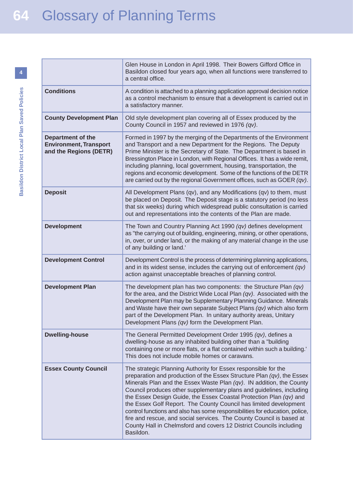**4**

| Glen House in London in April 1998. Their Bowers Gifford Office in<br>Basildon closed four years ago, when all functions were transferred to<br>a central office.                                                                                                                                                                                                                                                                                                                                                                                                                                                                                                                 |
|-----------------------------------------------------------------------------------------------------------------------------------------------------------------------------------------------------------------------------------------------------------------------------------------------------------------------------------------------------------------------------------------------------------------------------------------------------------------------------------------------------------------------------------------------------------------------------------------------------------------------------------------------------------------------------------|
| A condition is attached to a planning application approval decision notice<br>as a control mechanism to ensure that a development is carried out in<br>a satisfactory manner.                                                                                                                                                                                                                                                                                                                                                                                                                                                                                                     |
| Old style development plan covering all of Essex produced by the<br>County Council in 1957 and reviewed in 1976 (qv).                                                                                                                                                                                                                                                                                                                                                                                                                                                                                                                                                             |
| Formed in 1997 by the merging of the Departments of the Environment<br>and Transport and a new Department for the Regions. The Deputy<br>Prime Minister is the Secretary of State. The Department is based in<br>Bressington Place in London, with Regional Offices. It has a wide remit,<br>including planning, local government, housing, transportation, the<br>regions and economic development. Some of the functions of the DETR<br>are carried out by the regional Government offices, such as GOER (qv).                                                                                                                                                                  |
| All Development Plans (qv), and any Modifications (qv) to them, must<br>be placed on Deposit. The Deposit stage is a statutory period (no less<br>that six weeks) during which widespread public consultation is carried<br>out and representations into the contents of the Plan are made.                                                                                                                                                                                                                                                                                                                                                                                       |
| The Town and Country Planning Act 1990 (qv) defines development<br>as "the carrying out of building, engineering, mining, or other operations,<br>in, over, or under land, or the making of any material change in the use<br>of any building or land.'                                                                                                                                                                                                                                                                                                                                                                                                                           |
| Development Control is the process of determining planning applications,<br>and in its widest sense, includes the carrying out of enforcement $(qv)$<br>action against unacceptable breaches of planning control.                                                                                                                                                                                                                                                                                                                                                                                                                                                                 |
| The development plan has two components: the Structure Plan $(qv)$<br>for the area, and the District Wide Local Plan (qv). Associated with the<br>Development Plan may be Supplementary Planning Guidance. Minerals<br>and Waste have their own separate Subject Plans (qv) which also form<br>part of the Development Plan. In unitary authority areas, Unitary<br>Development Plans (qv) form the Development Plan.                                                                                                                                                                                                                                                             |
| The General Permitted Development Order 1995 $(qv)$ , defines a<br>dwelling-house as any inhabited building other than a "building<br>containing one or more flats, or a flat contained within such a building.'<br>This does not include mobile homes or caravans.                                                                                                                                                                                                                                                                                                                                                                                                               |
| The strategic Planning Authority for Essex responsible for the<br>preparation and production of the Essex Structure Plan (qv), the Essex<br>Minerals Plan and the Essex Waste Plan $(qv)$ . IN addition, the County<br>Council produces other supplementary plans and guidelines, including<br>the Essex Design Guide, the Essex Coastal Protection Plan (qv) and<br>the Essex Golf Report. The County Council has limited development<br>control functions and also has some responsibilities for education, police,<br>fire and rescue, and social services. The County Council is based at<br>County Hall in Chelmsford and covers 12 District Councils including<br>Basildon. |
|                                                                                                                                                                                                                                                                                                                                                                                                                                                                                                                                                                                                                                                                                   |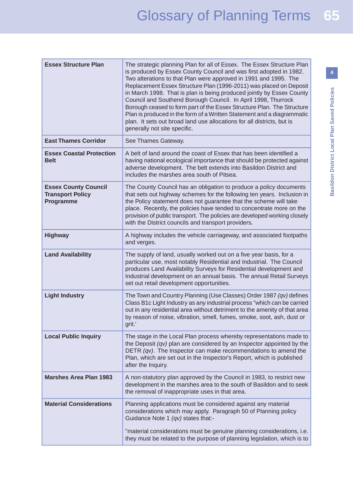| <b>Essex Structure Plan</b>                                         | The strategic planning Plan for all of Essex. The Essex Structure Plan<br>is produced by Essex County Council and was first adopted in 1982.<br>Two alterations to that Plan were approved in 1991 and 1995. The<br>Replacement Essex Structure Plan (1996-2011) was placed on Deposit<br>in March 1998. That is plan is being produced jointly by Essex County<br>Council and Southend Borough Council. In April 1998, Thurrock<br>Borough ceased to form part of the Essex Structure Plan. The Structure<br>Plan is produced in the form of a Written Statement and a diagrammatic<br>plan. It sets out broad land use allocations for all districts, but is<br>generally not site specific. |
|---------------------------------------------------------------------|------------------------------------------------------------------------------------------------------------------------------------------------------------------------------------------------------------------------------------------------------------------------------------------------------------------------------------------------------------------------------------------------------------------------------------------------------------------------------------------------------------------------------------------------------------------------------------------------------------------------------------------------------------------------------------------------|
| <b>East Thames Corridor</b>                                         | See Thames Gateway.                                                                                                                                                                                                                                                                                                                                                                                                                                                                                                                                                                                                                                                                            |
| <b>Essex Coastal Protection</b><br><b>Belt</b>                      | A belt of land around the coast of Essex that has been identified a<br>having national ecological importance that should be protected against<br>adverse development. The belt extends into Basildon District and<br>includes the marshes area south of Pitsea.                                                                                                                                                                                                                                                                                                                                                                                                                                |
| <b>Essex County Council</b><br><b>Transport Policy</b><br>Programme | The County Council has an obligation to produce a policy documents<br>that sets out highway schemes for the following ten years. Inclusion in<br>the Policy statement does not guarantee that the scheme will take<br>place. Recently, the policies have tended to concentrate more on the<br>provision of public transport. The policies are developed working closely<br>with the District councils and transport providers.                                                                                                                                                                                                                                                                 |
| <b>Highway</b>                                                      | A highway includes the vehicle carriageway, and associated footpaths<br>and verges.                                                                                                                                                                                                                                                                                                                                                                                                                                                                                                                                                                                                            |
| <b>Land Availability</b>                                            | The supply of land, usually worked out on a five year basis, for a<br>particular use, most notably Residential and Industrial. The Council<br>produces Land Availability Surveys for Residential development and<br>Industrial development on an annual basis. The annual Retail Surveys<br>set out retail development opportunities.                                                                                                                                                                                                                                                                                                                                                          |
| <b>Light Industry</b>                                               | The Town and Country Planning (Use Classes) Order 1987 (qv) defines<br>Class B1c Light Industry as any industrial process "which can be carried<br>out in any residential area without detriment to the amenity of that area<br>by reason of noise, vibration, smell, fumes, smoke, soot, ash, dust or<br>grit.'                                                                                                                                                                                                                                                                                                                                                                               |
| <b>Local Public Inquiry</b>                                         | The stage in the Local Plan process whereby representations made to<br>the Deposit $(qv)$ plan are considered by an Inspector appointed by the<br>DETR $(qv)$ . The Inspector can make recommendations to amend the<br>Plan, which are set out in the Inspector's Report, which is published<br>after the Inquiry.                                                                                                                                                                                                                                                                                                                                                                             |
| <b>Marshes Area Plan 1983</b>                                       | A non-statutory plan approved by the Council in 1983, to restrict new<br>development in the marshes area to the south of Basildon and to seek<br>the removal of inappropriate uses in that area.                                                                                                                                                                                                                                                                                                                                                                                                                                                                                               |
| <b>Material Considerations</b>                                      | Planning applications must be considered against any material<br>considerations which may apply. Paragraph 50 of Planning policy<br>Guidance Note 1 (qv) states that:-<br>"material considerations must be genuine planning considerations, i.e.<br>they must be related to the purpose of planning legislation, which is to                                                                                                                                                                                                                                                                                                                                                                   |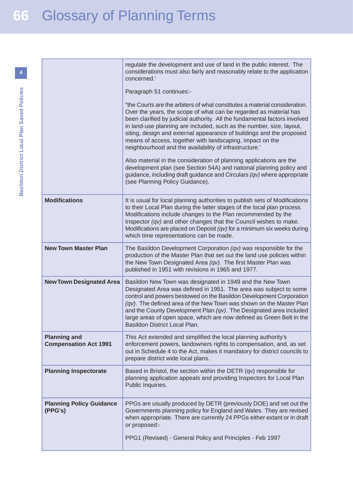|                                                     | regulate the development and use of land in the public interest. The<br>considerations must also fairly and reasonably relate to the application<br>concerned."                                                                                                                                                                                                                                                                                                                                      |
|-----------------------------------------------------|------------------------------------------------------------------------------------------------------------------------------------------------------------------------------------------------------------------------------------------------------------------------------------------------------------------------------------------------------------------------------------------------------------------------------------------------------------------------------------------------------|
|                                                     | Paragraph 51 continues:-                                                                                                                                                                                                                                                                                                                                                                                                                                                                             |
|                                                     | "the Courts are the arbiters of what constitutes a material consideration.<br>Over the years, the scope of what can be regarded as material has<br>been clarified by judicial authority. All the fundamental factors involved<br>in land-use planning are included, such as the number, size, layout,<br>siting, design and external appearance of buildings and the proposed<br>means of access, together with landscaping, impact on the<br>neighbourhood and the availability of infrastructure.' |
|                                                     | Also material in the consideration of planning applications are the<br>development plan (see Section 54A) and national planning policy and<br>guidance, including draft guidance and Circulars $(qv)$ where appropriate<br>(see Planning Policy Guidance).                                                                                                                                                                                                                                           |
| <b>Modifications</b>                                | It is usual for local planning authorities to publish sets of Modifications<br>to their Local Plan during the latter stages of the local plan process.<br>Modifications include changes to the Plan recommended by the<br>Inspector $(qv)$ and other changes that the Council wishes to make.<br>Modifications are placed on Deposit $(qv)$ for a minimum six weeks during<br>which time representations can be made.                                                                                |
| <b>New Town Master Plan</b>                         | The Basildon Development Corporation $(qv)$ was responsible for the<br>production of the Master Plan that set out the land use policies within<br>the New Town Designated Area $(qv)$ . The first Master Plan was<br>published in 1951 with revisions in 1965 and 1977.                                                                                                                                                                                                                              |
| <b>New Town Designated Area</b>                     | Basildon New Town was designated in 1949 and the New Town<br>Designated Area was defined in 1951. The area was subject to some<br>control and powers bestowed on the Basildon Development Corporation<br>(qv). The defined area of the New Town was shown on the Master Plan<br>and the County Development Plan (qv). The Designated area included<br>large areas of open space, which are now defined as Green Belt in the<br>Basildon District Local Plan.                                         |
| <b>Planning and</b><br><b>Compensation Act 1991</b> | This Act extended and simplified the local planning authority's<br>enforcement powers, landowners rights to compensation, and, as set<br>out in Schedule 4 to the Act, makes it mandatory for district councils to<br>prepare district wide local plans.                                                                                                                                                                                                                                             |
| <b>Planning Inspectorate</b>                        | Based in Bristol, the section within the DETR (qv) responsible for<br>planning application appeals and providing Inspectors for Local Plan<br>Public Inquiries.                                                                                                                                                                                                                                                                                                                                      |
| <b>Planning Policy Guidance</b><br>(PPG's)          | PPGs are usually produced by DETR (previously DOE) and set out the<br>Governments planning policy for England and Wales. They are revised<br>when appropriate. There are currently 24 PPGs either extant or in draft<br>or proposed:-                                                                                                                                                                                                                                                                |
|                                                     | PPG1 (Revised) - General Policy and Principles - Feb 1997                                                                                                                                                                                                                                                                                                                                                                                                                                            |

**4**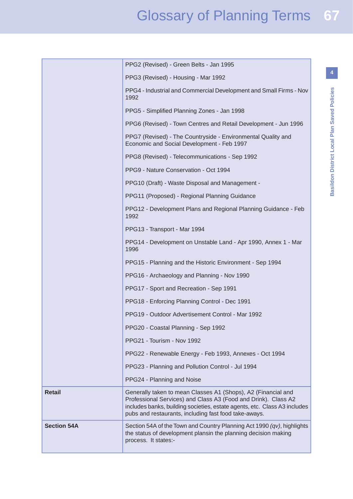## Glossary of Planning Terms **67**

|  | 4                                                 |
|--|---------------------------------------------------|
|  | Ï<br>J<br><u>ה</u><br>כ<br>sel I<br>$\frac{1}{3}$ |
|  |                                                   |
|  |                                                   |

|                    | PPG2 (Revised) - Green Belts - Jan 1995                                                                                                                                                                                                                               |
|--------------------|-----------------------------------------------------------------------------------------------------------------------------------------------------------------------------------------------------------------------------------------------------------------------|
|                    | PPG3 (Revised) - Housing - Mar 1992                                                                                                                                                                                                                                   |
|                    | PPG4 - Industrial and Commercial Development and Small Firms - Nov<br>1992                                                                                                                                                                                            |
|                    | PPG5 - Simplified Planning Zones - Jan 1998                                                                                                                                                                                                                           |
|                    | PPG6 (Revised) - Town Centres and Retail Development - Jun 1996                                                                                                                                                                                                       |
|                    | PPG7 (Revised) - The Countryside - Environmental Quality and<br>Economic and Social Development - Feb 1997                                                                                                                                                            |
|                    | PPG8 (Revised) - Telecommunications - Sep 1992                                                                                                                                                                                                                        |
|                    | PPG9 - Nature Conservation - Oct 1994                                                                                                                                                                                                                                 |
|                    | PPG10 (Draft) - Waste Disposal and Management -                                                                                                                                                                                                                       |
|                    | PPG11 (Proposed) - Regional Planning Guidance                                                                                                                                                                                                                         |
|                    | PPG12 - Development Plans and Regional Planning Guidance - Feb<br>1992                                                                                                                                                                                                |
|                    | PPG13 - Transport - Mar 1994                                                                                                                                                                                                                                          |
|                    | PPG14 - Development on Unstable Land - Apr 1990, Annex 1 - Mar<br>1996                                                                                                                                                                                                |
|                    | PPG15 - Planning and the Historic Environment - Sep 1994                                                                                                                                                                                                              |
|                    | PPG16 - Archaeology and Planning - Nov 1990                                                                                                                                                                                                                           |
|                    | PPG17 - Sport and Recreation - Sep 1991                                                                                                                                                                                                                               |
|                    | PPG18 - Enforcing Planning Control - Dec 1991                                                                                                                                                                                                                         |
|                    | PPG19 - Outdoor Advertisement Control - Mar 1992                                                                                                                                                                                                                      |
|                    | PPG20 - Coastal Planning - Sep 1992                                                                                                                                                                                                                                   |
|                    | PPG21 - Tourism - Nov 1992                                                                                                                                                                                                                                            |
|                    | PPG22 - Renewable Energy - Feb 1993, Annexes - Oct 1994                                                                                                                                                                                                               |
|                    | PPG23 - Planning and Pollution Control - Jul 1994                                                                                                                                                                                                                     |
|                    | PPG24 - Planning and Noise                                                                                                                                                                                                                                            |
| <b>Retail</b>      | Generally taken to mean Classes A1 (Shops), A2 (Financial and<br>Professional Services) and Class A3 (Food and Drink). Class A2<br>includes banks, building societies, estate agents, etc. Class A3 includes<br>pubs and restaurants, including fast food take-aways. |
| <b>Section 54A</b> | Section 54A of the Town and Country Planning Act 1990 (qv), highlights<br>the status of development plansin the planning decision making<br>process. It states:-                                                                                                      |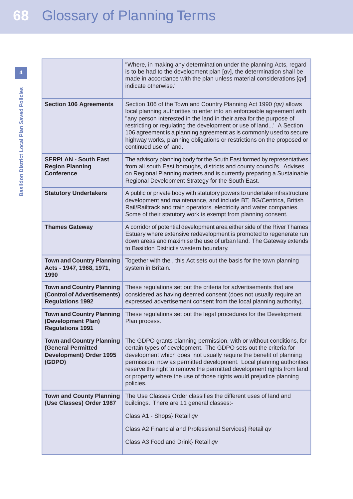## **68** Glossary of Planning Terms

"Where, in making any determination under the planning Acts, regard is to be had to the development plan [*qv*], the determination shall be made in accordance with the plan unless material considerations [*qv*] indicate otherwise.' Section 106 of the Town and Country Planning Act 1990 *(qv)* allows local planning authorities to enter into an enforceable agreement with **Section 106 Agreements** "any person interested in the land in their area for the purpose of restricting or regulating the development or use of land...' A Section 106 agreement is a planning agreement as is commonly used to secure highway works, planning obligations or restrictions on the proposed or continued use of land. The advisory planning body for the South East formed by representatives from all south East boroughs, districts and county council's. Advises on Regional Planning matters and is currently preparing a Sustainable Regional Development Strategy for the South East. **SERPLAN - South East Region Planning Conference** A public or private body with statutory powers to undertake infrastructure development and maintenance, and include BT, BG/Centrica, British Rail/Railtrack and train operators, electricity and water companies. Some of their statutory work is exempt from planning consent. **Statutory Undertakers** A corridor of potential development area either side of the River Thames Estuary where extensive redevelopment is promoted to regenerate run down areas and maximise the use of urban land. The Gateway extends to Basildon District's western boundary. **Thames Gateway** Together with the , this Act sets out the basis for the town planning system in Britain. **Town and Country Planning Acts - 1947, 1968, 1971, 1990** These regulations set out the criteria for advertisements that are considered as having deemed consent (does not usually require an expressed advertisement consent from the local planning authority). **Town and Country Planning (Control of Advertisements) Regulations 1992** These regulations set out the legal procedures for the Development Plan process. **Town and Country Planning (Development Plan) Regulations 1991** The GDPO grants planning permission, with or without conditions, for certain types of development. The GDPO sets out the criteria for **Town and Country Planning (General Permitted Development) Order 1995 (GDPO)** development which does not usually require the benefit of planning permission, now as permitted development. Local planning authorities reserve the right to remove the permitted development rights from land or property where the use of those rights would prejudice planning policies. The Use Classes Order classifies the different uses of land and buildings. There are 11 general classes:- **Town and County Planning (Use Classes) Order 1987** Class A1 - Shops} Retail *qv* Class A2 Financial and Professional Services} Retail *qv* Class A3 Food and Drink} Retail *qv*